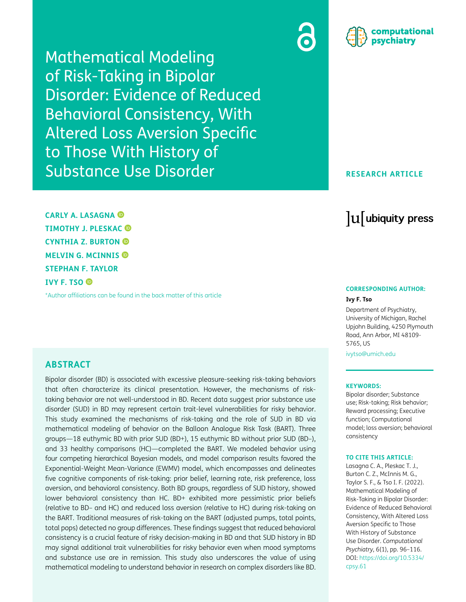Mathematical Modeling of Risk-Taking in Bipolar Disorder: Evidence of Reduced Behavioral Consistency, With Altered Loss Aversion Specific to Those With History of Substance Use Disorder

**CARLY A. LASAGNA TIMOTHY J. PLESKAC CYNTHIA Z. BURTON MELVIN G. MCINNIS STEPHAN F. TAYLOR IVY F. TSO** 

[\\*Author affiliations can be found in the back matter of this article](#page-17-0)

# **ABSTRACT**

Bipolar disorder (BD) is associated with excessive pleasure-seeking risk-taking behaviors that often characterize its clinical presentation. However, the mechanisms of risktaking behavior are not well-understood in BD. Recent data suggest prior substance use disorder (SUD) in BD may represent certain trait-level vulnerabilities for risky behavior. This study examined the mechanisms of risk-taking and the role of SUD in BD via mathematical modeling of behavior on the Balloon Analogue Risk Task (BART). Three groups—18 euthymic BD with prior SUD (BD+), 15 euthymic BD without prior SUD (BD–), and 33 healthy comparisons (HC)—completed the BART. We modeled behavior using four competing hierarchical Bayesian models, and model comparison results favored the Exponential-Weight Mean-Variance (EWMV) model, which encompasses and delineates five cognitive components of risk-taking: prior belief, learning rate, risk preference, loss aversion, and behavioral consistency. Both BD groups, regardless of SUD history, showed lower behavioral consistency than HC. BD+ exhibited more pessimistic prior beliefs (relative to BD– and HC) and reduced loss aversion (relative to HC) during risk-taking on the BART. Traditional measures of risk-taking on the BART (adjusted pumps, total points, total pops) detected no group differences. These findings suggest that reduced behavioral consistency is a crucial feature of risky decision-making in BD and that SUD history in BD may signal additional trait vulnerabilities for risky behavior even when mood symptoms and substance use are in remission. This study also underscores the value of using mathematical modeling to understand behavior in research on complex disorders like BD.





## **RESEARCH ARTICLE**

# lu ubiquity press

## **CORRESPONDING AUTHOR:**

#### **Ivy F. Tso**

Department of Psychiatry, University of Michigan, Rachel Upjohn Building, 4250 Plymouth Road, Ann Arbor, MI 48109- 5765, US

[ivytso@umich.edu](mailto:ivytso@umich.edu)

#### **KEYWORDS:**

Bipolar disorder; Substance use; Risk-taking; Risk behavior; Reward processing; Executive function; Computational model; loss aversion; behavioral consistency

#### **TO CITE THIS ARTICLE:**

Lasagna C. A., Pleskac T. J., Burton C. Z., McInnis M. G., Taylor S. F., & Tso I. F. (2022). Mathematical Modeling of Risk-Taking in Bipolar Disorder: Evidence of Reduced Behavioral Consistency, With Altered Loss Aversion Specific to Those With History of Substance Use Disorder. *Computational Psychiatry*, 6(1), pp. 96–116. DOI: [https://doi.org/10.5334/](https://doi.org/10.5334/cpsy.61) [cpsy.61](https://doi.org/10.5334/cpsy.61)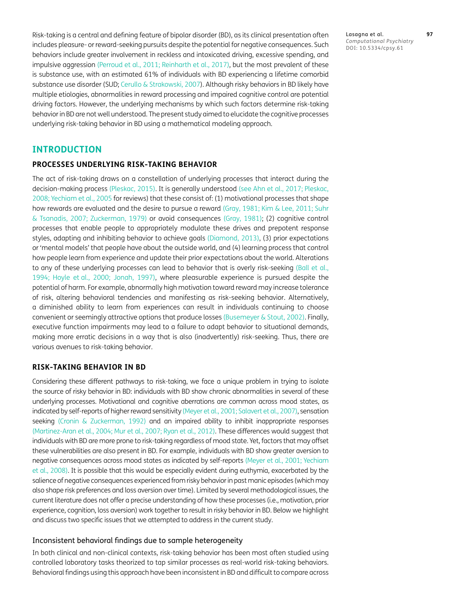Risk-taking is a central and defining feature of bipolar disorder (BD), as its clinical presentation often includes pleasure- or reward-seeking pursuits despite the potential for negative consequences. Such behaviors include greater involvement in reckless and intoxicated driving, excessive spending, and impulsive aggression ([Perroud et al., 2011](#page-19-0); [Reinharth et al., 2017](#page-19-1)), but the most prevalent of these is substance use, with an estimated 61% of individuals with BD experiencing a lifetime comorbid substance use disorder (SUD; [Cerullo & Strakowski, 2007](#page-18-0)). Although risky behaviors in BD likely have multiple etiologies, abnormalities in reward processing and impaired cognitive control are potential driving factors. However, the underlying mechanisms by which such factors determine risk-taking behavior in BD are not well understood. The present study aimed to elucidate the cognitive processes underlying risk-taking behavior in BD using a mathematical modeling approach.

# **INTRODUCTION**

## **PROCESSES UNDERLYING RISK-TAKING BEHAVIOR**

The act of risk-taking draws on a constellation of underlying processes that interact during the decision-making process ([Pleskac, 2015](#page-19-2)). It is generally understood (see [Ahn et al., 2017](#page-17-1); [Pleskac,](#page-19-3) [2008](#page-19-3); [Yechiam et al., 2005](#page-20-0) for reviews) that these consist of: (1) motivational processes that shape how rewards are evaluated and the desire to pursue a reward ([Gray, 1981](#page-18-1); [Kim & Lee, 2011](#page-18-2); [Suhr](#page-20-1) [& Tsanadis, 2007](#page-20-1); Zuckerman, 1979) or avoid consequences ([Gray, 1981](#page-18-1)); (2) cognitive control processes that enable people to appropriately modulate these drives and prepotent response styles, adapting and inhibiting behavior to achieve goals ([Diamond, 2013\)](#page-18-3), (3) prior expectations or 'mental models' that people have about the outside world, and (4) learning process that control how people learn from experience and update their prior expectations about the world. Alterations to any of these underlying processes can lead to behavior that is overly risk-seeking ([Ball et al.,](#page-17-2) [1994](#page-17-2); Hoyle et [al., 2000](#page-18-4); [Jonah, 1997](#page-18-5)), where pleasurable experience is pursued despite the potential of harm. For example, abnormally high motivation toward reward may increase tolerance of risk, altering behavioral tendencies and manifesting as risk-seeking behavior. Alternatively, a diminished ability to learn from experiences can result in individuals continuing to choose convenient or seemingly attractive options that produce losses [\(Busemeyer & Stout, 2002](#page-17-3)). Finally, executive function impairments may lead to a failure to adapt behavior to situational demands, making more erratic decisions in a way that is also (inadvertently) risk-seeking. Thus, there are various avenues to risk-taking behavior.

## **RISK-TAKING BEHAVIOR IN BD**

Considering these different pathways to risk-taking, we face a unique problem in trying to isolate the source of risky behavior in BD: individuals with BD show chronic abnormalities in several of these underlying processes. Motivational and cognitive aberrations are common across mood states, as indicated by self-reports of higher reward sensitivity ([Meyer et al., 2001;](#page-19-4) Salavert et al., 2007), sensation seeking [\(Cronin & Zuckerman, 1992\)](#page-18-6) and an impaired ability to inhibit inappropriate responses [\(Martinez-Aran et al., 2004;](#page-19-5) Mur et al., 2007; [Ryan et al., 2012\)](#page-19-6). These differences would suggest that individuals with BD are more prone to risk-taking regardless of mood state. Yet, factors that may offset these vulnerabilities are also present in BD. For example, individuals with BD show greater aversion to negative consequences across mood states as indicated by self-reports [\(Meyer et al., 2001;](#page-19-4) Yechiam et al., 2008). It is possible that this would be especially evident during euthymia, exacerbated by the salience of negative consequences experienced from risky behavior in past manic episodes (which may also shape risk preferences and loss aversion over time). Limited by several methodological issues, the current literature does not offer a precise understanding of how these processes (i.e., motivation, prior experience, cognition, loss aversion) work together to result in risky behavior in BD. Below we highlight and discuss two specific issues that we attempted to address in the current study.

#### Inconsistent behavioral findings due to sample heterogeneity

In both clinical and non-clinical contexts, risk-taking behavior has been most often studied using controlled laboratory tasks theorized to tap similar processes as real-world risk-taking behaviors. Behavioral findings using this approach have been inconsistent in BD and difficult to compare across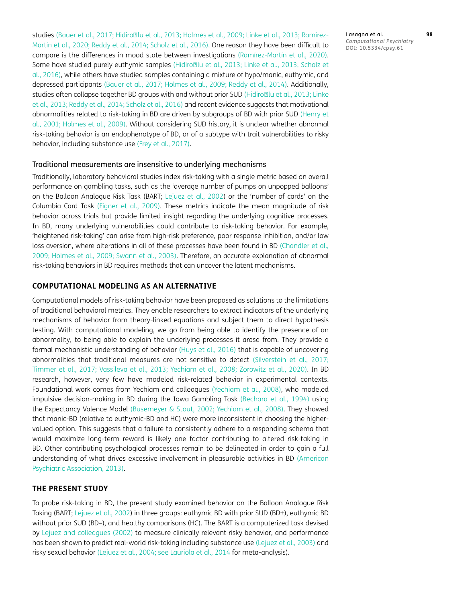studies ([Bauer et al., 2017;](#page-17-4) Hidiro**Ilu et al., 2013; Holmes et al., 2009**; [Linke et al., 2013;](#page-19-7) Ramírez-Martín et al., 2020; [Reddy et al., 2014;](#page-19-8) [Scholz et al., 2016\)](#page-19-9). One reason they have been difficult to compare is the differences in mood state between investigations (Ramírez-Martín et al., 2020). Some have studied purely euthymic samples (Hidiro**IIIu et al., 2013; Linke et al., 2013**; [Scholz et](#page-19-9) [al., 2016](#page-19-9)), while others have studied samples containing a mixture of hypo/manic, euthymic, and depressed participants ([Bauer et al., 2017;](#page-17-4) [Holmes et al., 2009;](#page-18-7) [Reddy et al., 2014](#page-19-8)). Additionally, studies often collapse together BD groups with and without prior SUD (HidiroØlu et al., 2013; [Linke](#page-19-7) [et al., 2013;](#page-19-7) [Reddy et al., 2014;](#page-19-8) [Scholz et al., 2016\)](#page-19-9) and recent evidence suggests that motivational abnormalities related to risk-taking in BD are driven by subgroups of BD with prior SUD ([Henry et](#page-18-8) [al., 2001;](#page-18-8) [Holmes et al., 2009](#page-18-7)). Without considering SUD history, it is unclear whether abnormal risk-taking behavior is an endophenotype of BD, or of a subtype with trait vulnerabilities to risky behavior, including substance use ([Frey et al., 2017](#page-18-9)).

#### Traditional measurements are insensitive to underlying mechanisms

Traditionally, laboratory behavioral studies index risk-taking with a single metric based on overall performance on gambling tasks, such as the 'average number of pumps on unpopped balloons' on the Balloon Analogue Risk Task (BART; [Lejuez et al., 2002\)](#page-18-10) or the 'number of cards' on the Columbia Card Task ([Figner et al., 2009](#page-18-11)). These metrics indicate the mean magnitude of risk behavior across trials but provide limited insight regarding the underlying cognitive processes. In BD, many underlying vulnerabilities could contribute to risk-taking behavior. For example, 'heightened risk-taking' can arise from high-risk preference, poor response inhibition, and/or low loss aversion, where alterations in all of these processes have been found in BD ([Chandler et al.,](#page-18-12) [2009](#page-18-12); [Holmes et al., 2009;](#page-18-7) [Swann et al., 2003\)](#page-20-2). Therefore, an accurate explanation of abnormal risk-taking behaviors in BD requires methods that can uncover the latent mechanisms.

## **COMPUTATIONAL MODELING AS AN ALTERNATIVE**

Computational models of risk-taking behavior have been proposed as solutions to the limitations of traditional behavioral metrics. They enable researchers to extract indicators of the underlying mechanisms of behavior from theory-linked equations and subject them to direct hypothesis testing. With computational modeling, we go from being able to identify the presence of an abnormality, to being able to explain the underlying processes it arose from. They provide a formal mechanistic understanding of behavior [\(Huys et al., 2016](#page-18-13)) that is capable of uncovering abnormalities that traditional measures are not sensitive to detect [\(Silverstein et al., 2017;](#page-20-3) [Timmer et al., 2017](#page-20-4); [Vassileva et al., 2013](#page-20-5); Yechiam et al., 2008; Zorowitz et al., 2020). In BD research, however, very few have modeled risk-related behavior in experimental contexts. Foundational work comes from Yechiam and colleagues (Yechiam et al., 2008), who modeled impulsive decision-making in BD during the Iowa Gambling Task ([Bechara et al., 1994\)](#page-17-5) using the Expectancy Valence Model [\(Busemeyer & Stout, 2002;](#page-17-3) Yechiam et al., 2008). They showed that manic-BD (relative to euthymic-BD and HC) were more inconsistent in choosing the highervalued option. This suggests that a failure to consistently adhere to a responding schema that would maximize long-term reward is likely one factor contributing to altered risk-taking in BD. Other contributing psychological processes remain to be delineated in order to gain a full understanding of what drives excessive involvement in pleasurable activities in BD [\(American](#page-17-6) [Psychiatric Association, 2013\)](#page-17-6).

## **THE PRESENT STUDY**

To probe risk-taking in BD, the present study examined behavior on the Balloon Analogue Risk Taking (BART; [Lejuez et al., 2002](#page-18-10)) in three groups: euthymic BD with prior SUD (BD+), euthymic BD without prior SUD (BD–), and healthy comparisons (HC). The BART is a computerized task devised by [Lejuez and colleagues \(2002\)](#page-18-10) to measure clinically relevant risky behavior, and performance has been shown to predict real-world risk-taking including substance use [\(Lejuez et al., 2003](#page-19-10)) and risky sexual behavior ([Lejuez et al., 2004](#page-19-11); see [Lauriola et al., 2014](#page-18-14) for meta-analysis).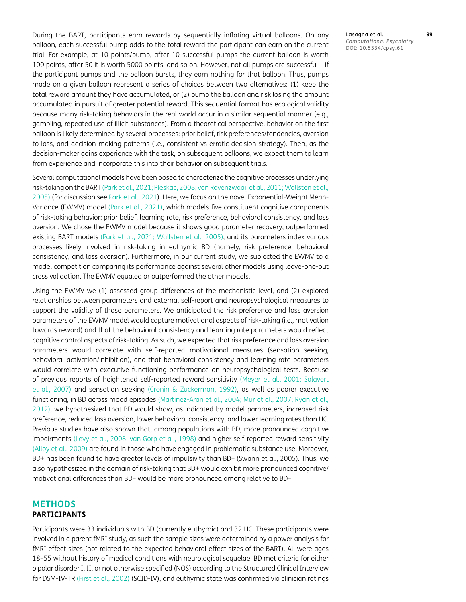During the BART, participants earn rewards by sequentially inflating virtual balloons. On any balloon, each successful pump adds to the total reward the participant can earn on the current trial. For example, at 10 points/pump, after 10 successful pumps the current balloon is worth 100 points, after 50 it is worth 5000 points, and so on. However, not all pumps are successful—if the participant pumps and the balloon bursts, they earn nothing for that balloon. Thus, pumps made on a given balloon represent a series of choices between two alternatives: (1) keep the total reward amount they have accumulated, or (2) pump the balloon and risk losing the amount accumulated in pursuit of greater potential reward. This sequential format has ecological validity because many risk-taking behaviors in the real world occur in a similar sequential manner (e.g., gambling, repeated use of illicit substances). From a theoretical perspective, behavior on the first balloon is likely determined by several processes: prior belief, risk preferences/tendencies, aversion to loss, and decision-making patterns (i.e., consistent vs erratic decision strategy). Then, as the decision-maker gains experience with the task, on subsequent balloons, we expect them to learn from experience and incorporate this into their behavior on subsequent trials.

Several computational models have been posed to characterize the cognitive processes underlying risk-taking on the BART [\(Park et al., 2021;](#page-19-12) [Pleskac, 2008](#page-19-2); van Ravenzwaaij et al., 2011; [Wallsten et al.,](#page-20-6) [2005](#page-20-6)) (for discussion see [Park et al., 2021\)](#page-19-12). Here, we focus on the novel Exponential-Weight Mean-Variance (EWMV) model [\(Park et al., 2021\)](#page-19-12), which models five constituent cognitive components of risk-taking behavior: prior belief, learning rate, risk preference, behavioral consistency, and loss aversion. We chose the EWMV model because it shows good parameter recovery, outperformed existing BART models [\(Park et al., 2021](#page-19-12); [Wallsten et al., 2005](#page-20-6)), and its parameters index various processes likely involved in risk-taking in euthymic BD (namely, risk preference, behavioral consistency, and loss aversion). Furthermore, in our current study, we subjected the EWMV to a model competition comparing its performance against several other models using leave-one-out cross validation. The EWMV equaled or outperformed the other models.

Using the EWMV we (1) assessed group differences at the mechanistic level, and (2) explored relationships between parameters and external self-report and neuropsychological measures to support the validity of those parameters. We anticipated the risk preference and loss aversion parameters of the EWMV model would capture motivational aspects of risk-taking (i.e., motivation towards reward) and that the behavioral consistency and learning rate parameters would reflect cognitive control aspects of risk-taking. As such, we expected that risk preference and loss aversion parameters would correlate with self-reported motivational measures (sensation seeking, behavioral activation/inhibition), and that behavioral consistency and learning rate parameters would correlate with executive functioning performance on neuropsychological tests. Because of previous reports of heightened self-reported reward sensitivity [\(Meyer et al., 2001;](#page-19-4) Salavert et al., 2007) and sensation seeking [\(Cronin & Zuckerman, 1992\)](#page-18-6), as well as poorer executive functioning, in BD across mood episodes ([Martinez-Aran et al., 2004](#page-19-5); Mur et al., 2007; [Ryan et al.,](#page-19-6) [2012](#page-19-6)), we hypothesized that BD would show, as indicated by model parameters, increased risk preference, reduced loss aversion, lower behavioral consistency, and lower learning rates than HC. Previous studies have also shown that, among populations with BD, more pronounced cognitive impairments [\(Levy et al., 2008;](#page-19-13) van Gorp et al., 1998) and higher self-reported reward sensitivity [\(Alloy et al., 2009](#page-17-7)) are found in those who have engaged in problematic substance use. Moreover, BD+ has been found to have greater levels of impulsivity than BD– (Swann et al., 2005). Thus, we also hypothesized in the domain of risk-taking that BD+ would exhibit more pronounced cognitive/ motivational differences than BD– would be more pronounced among relative to BD–.

# **METHODS PARTICIPANTS**

Participants were 33 individuals with BD (currently euthymic) and 32 HC. These participants were involved in a parent fMRI study, as such the sample sizes were determined by a power analysis for fMRI effect sizes (not related to the expected behavioral effect sizes of the BART). All were ages 18–55 without history of medical conditions with neurological sequelae. BD met criteria for either bipolar disorder I, II, or not otherwise specified (NOS) according to the Structured Clinical Interview for DSM-IV-TR ([First et al., 2002](#page-18-15)) (SCID-IV), and euthymic state was confirmed via clinician ratings Lasagna et al. **99** *Computational Psychiatry* DOI: 10.5334/cpsy.61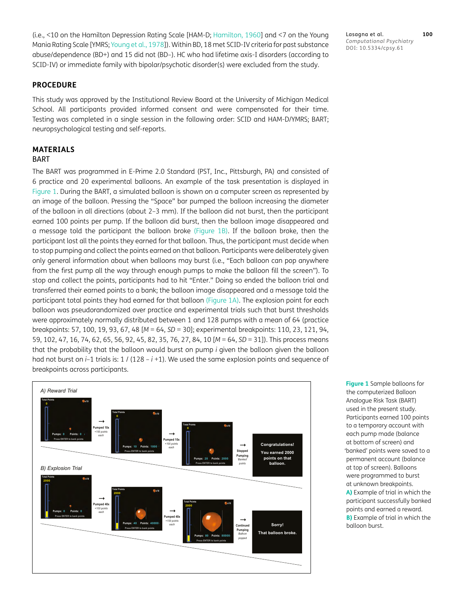(i.e., <10 on the Hamilton Depression Rating Scale [HAM-D; [Hamilton, 1960\]](#page-18-16) and <7 on the Young Mania Rating Scale [YMRS; Young et al., 1978]). Within BD, 18 met SCID-IV criteria for past substance abuse/dependence (BD+) and 15 did not (BD–). HC who had lifetime axis-I disorders (according to SCID-IV) or immediate family with bipolar/psychotic disorder(s) were excluded from the study.

#### **PROCEDURE**

This study was approved by the Institutional Review Board at the University of Michigan Medical School. All participants provided informed consent and were compensated for their time. Testing was completed in a single session in the following order: SCID and HAM-D/YMRS; BART; neuropsychological testing and self-reports.

# **MATERIALS**

# **BART**

The BART was programmed in E-Prime 2.0 Standard (PST, Inc., Pittsburgh, PA) and consisted of 6 practice and 20 experimental balloons. An example of the task presentation is displayed in [Figure 1](#page-4-0). During the BART, a simulated balloon is shown on a computer screen as represented by an image of the balloon. Pressing the "Space" bar pumped the balloon increasing the diameter of the balloon in all directions (about 2–3 mm). If the balloon did not burst, then the participant earned 100 points per pump. If the balloon did burst, then the balloon image disappeared and a message told the participant the balloon broke ([Figure 1B](#page-4-0)). If the balloon broke, then the participant lost all the points they earned for that balloon. Thus, the participant must decide when to stop pumping and collect the points earned on that balloon. Participants were deliberately given only general information about when balloons may burst (i.e., "Each balloon can pop anywhere from the first pump all the way through enough pumps to make the balloon fill the screen"). To stop and collect the points, participants had to hit "Enter." Doing so ended the balloon trial and transferred their earned points to a bank; the balloon image disappeared and a message told the participant total points they had earned for that balloon ([Figure 1A](#page-4-0)). The explosion point for each balloon was pseudorandomized over practice and experimental trials such that burst thresholds were approximately normally distributed between 1 and 128 pumps with a mean of 64 (practice breakpoints: 57, 100, 19, 93, 67, 48 [*M* = 64, *SD* = 30]; experimental breakpoints: 110, 23, 121, 94, 59, 102, 47, 16, 74, 62, 65, 56, 92, 45, 82, 35, 76, 27, 84, 10 [*M* = 64, *SD* = 31]). This process means that the probability that the balloon would burst on pump *i* given the balloon given the balloon had not burst on *i*–1 trials is: 1 / (128 – *i* +1). We used the same explosion points and sequence of breakpoints across participants.



<span id="page-4-0"></span>**Figure 1** Sample balloons for the computerized Balloon Analogue Risk Task (BART) used in the present study. Participants earned 100 points to a temporary account with each pump made (balance at bottom of screen) and 'banked' points were saved to a permanent account (balance at top of screen). Balloons were programmed to burst at unknown breakpoints. **A)** Example of trial in which the participant successfully banked points and earned a reward. **B)** Example of trial in which the balloon burst.

Lasagna et al. **100** *Computational Psychiatry* DOI: 10.5334/cpsy.61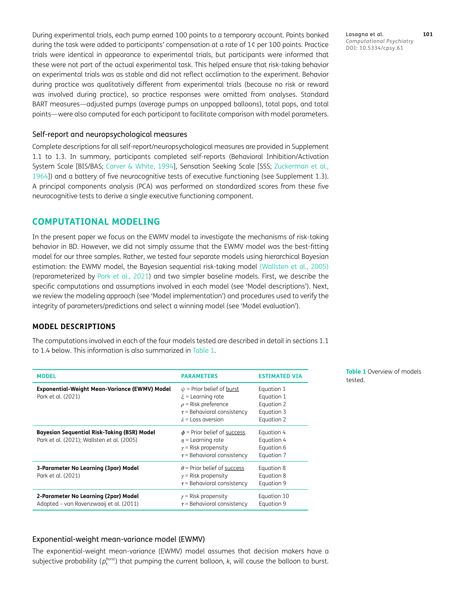During experimental trials, each pump earned 100 points to a temporary account. Points banked during the task were added to participants' compensation at a rate of 1¢ per 100 points. Practice trials were identical in appearance to experimental trials, but participants were informed that these were not part of the actual experimental task. This helped ensure that risk-taking behavior on experimental trials was as stable and did not reflect acclimation to the experiment. Behavior during practice was qualitatively different from experimental trials (because no risk or reward was involved during practice), so practice responses were omitted from analyses. Standard BART measures—adjusted pumps (average pumps on unpopped balloons), total pops, and total points—were also computed for each participant to facilitate comparison with model parameters.

## Self-report and neuropsychological measures

Complete descriptions for all self-report/neuropsychological measures are provided in Supplement 1.1 to 1.3. In summary, participants completed self-reports (Behavioral Inhibition/Activation System Scale [BIS/BAS; [Carver & White, 1994](#page-18-17)], Sensation Seeking Scale [SSS; Zuckerman et al., 1964]) and a battery of five neurocognitive tests of executive functioning (see Supplement 1.3). A principal components analysis (PCA) was performed on standardized scores from these five neurocognitive tests to derive a single executive functioning component.

# **COMPUTATIONAL MODELING**

In the present paper we focus on the EWMV model to investigate the mechanisms of risk-taking behavior in BD. However, we did not simply assume that the EWMV model was the best-fitting model for our three samples. Rather, we tested four separate models using hierarchical Bayesian estimation: the EWMV model, the Bayesian sequential risk-taking model [\(Wallsten et al., 2005](#page-20-6)) (reparameterized by [Park et al., 2021\)](#page-19-12) and two simpler baseline models. First, we describe the specific computations and assumptions involved in each model (see 'Model descriptions'). Next, we review the modeling approach (see 'Model implementation') and procedures used to verify the integrity of parameters/predictions and select a winning model (see 'Model evaluation').

# **MODEL DESCRIPTIONS**

The computations involved in each of the four models tested are described in detail in sections 1.1 to 1.4 below. This information is also summarized in [Table 1.](#page-5-0)

| <b>MODEL</b>                                                                              | <b>PARAMETERS</b>                                                                                                                                           | <b>ESTIMATED VIA</b>                                               |
|-------------------------------------------------------------------------------------------|-------------------------------------------------------------------------------------------------------------------------------------------------------------|--------------------------------------------------------------------|
| Exponential-Weight Mean-Variance (EWMV) Model<br>Park et al. (2021)                       | $\psi$ = Prior belief of burst<br>$\mathcal{E}$ = Learning rate<br>$\rho$ = Risk preference<br>$\tau$ = Behavioral consistency<br>$\lambda$ = Loss aversion | Equation 1<br>Equation 1<br>Equation 2<br>Equation 3<br>Equation 2 |
| Bayesian Sequential Risk-Taking (BSR) Model<br>Park et al. (2021); Wallsten et al. (2005) | $\phi$ = Prior belief of success<br>$\eta$ = Learning rate<br>$\gamma$ = Risk propensity<br>$\tau$ = Behavioral consistency                                 | Equation 4<br>Equation 4<br>Equation 6<br>Equation 7               |
| 3-Parameter No Learning (3par) Model<br>Park et al. (2021)                                | $\theta$ = Prior belief of success<br>$\gamma$ = Risk propensity<br>$\tau$ = Behavioral consistency                                                         | Equation 8<br>Equation 8<br>Equation 9                             |
| 2-Parameter No Learning (2par) Model<br>Adapted – van Ravenzwaaij et al. (2011)           | $\gamma$ = Risk propensity<br>$\tau$ = Behavioral consistency                                                                                               | Equation 10<br>Equation 9                                          |

<span id="page-5-0"></span>**Table 1** Overview of models tested.

## Exponential-weight mean-variance model (EWMV)

The exponential-weight mean-variance (EWMV) model assumes that decision makers have a subjective probability ( $p_k^{burst}$ ) that pumping the current balloon,  $k$ , will cause the balloon to burst.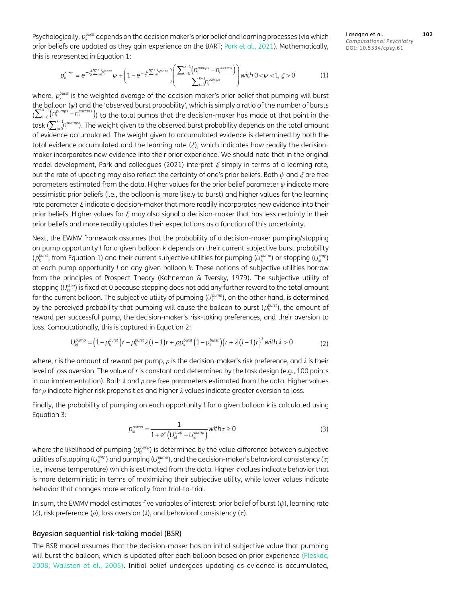Psychologically,  $p_k^{burst}$  depends on the decision maker's prior belief and learning processes (via which prior beliefs are updated as they gain experience on the BART; [Park et al., 2021\)](#page-19-12). Mathematically, this is represented in Equation 1:

Lasagna et al. **102** *Computational Psychiatry* DOI: 10.5334/cpsy.61

$$
p_k^{\text{burst}} = e^{-\xi \sum_{i=0}^{k-1} p_i^{\text{sum}}} \psi + \left(1 - e^{-\xi \sum_{i=0}^{k-1} p_i^{\text{sum}}} \right) \left( \frac{\sum_{i=0}^{k-1} \left( n_i^{\text{pumps}} - n_i^{\text{success}} \right)}{\sum_{i=0}^{k-1} n_i^{\text{pumps}}} \right) \text{with } 0 < \psi < 1, \xi > 0 \tag{1}
$$

where,  $p_k^{burst}$  is the weighted average of the decision maker's prior belief that pumping will burst the balloon (*ψ*) and the 'observed burst probability', which is simply a ratio of the number of bursts  $\sum_{i=0}^{k-1}(n_i^{pumps} - n_i^{success})$ ) to the total pumps that the decision-maker has made at that point in the task ( $\sum_{i=0}^{k-1}$ n $_{i}^{pumps}$ ). The weight given to the observed burst probability depends on the total amount of evidence accumulated. The weight given to accumulated evidence is determined by both the total evidence accumulated and the learning rate (*ξ*), which indicates how readily the decisionmaker incorporates new evidence into their prior experience. We should note that in the original model development, Park and colleagues (2021) interpret *ξ* simply in terms of a learning rate, but the rate of updating may also reflect the certainty of one's prior beliefs. Both *ψ* and *ξ* are free parameters estimated from the data. Higher values for the prior belief parameter *ψ* indicate more pessimistic prior beliefs (i.e., the balloon is more likely to burst) and higher values for the learning rate parameter *ξ* indicate a decision-maker that more readily incorporates new evidence into their prior beliefs. Higher values for *ξ* may also signal a decision-maker that has less certainty in their prior beliefs and more readily updates their expectations as a function of this uncertainty.

Next, the EWMV framework assumes that the probability of a decision-maker pumping/stopping on pump opportunity *l* for a given balloon *k* depends on their current subjective burst probability  $(p_k^{burst};$  from Equation 1) and their current subjective utilities for pumping  $(U_{kl}^{pump})$  or stopping  $(U_{kl}^{stop})$ at each pump opportunity *l* on any given balloon *k.* These notions of subjective utilities borrow from the principles of Prospect Theory (Kahneman & Tversky, 1979). The subjective utility of stopping ( $U_{kl}^{stop}$ ) is fixed at 0 because stopping does not add any further reward to the total amount for the current balloon. The subjective utility of pumping  $(U_k^{\text{pump}})$ , on the other hand, is determined by the perceived probability that pumping will cause the balloon to burst  $(p_k^{burst})$ , the amount of reward per successful pump, the decision-maker's risk-taking preferences, and their aversion to loss. Computationally, this is captured in Equation 2:

$$
U_{kl}^{pump} = (1 - p_k^{burst})r - p_k^{burst}\lambda(l-1)r + \rho p_k^{burst}\left(1 - p_k^{burst}\right)\left\{r + \lambda(l-1)r\right\}^2
$$
 with  $\lambda > 0$  (2)

where, *r* is the amount of reward per pump, *ρ* is the decision-maker's risk preference, and *λ* is their level of loss aversion. The value of *r* is constant and determined by the task design (e.g., 100 points in our implementation). Both *λ* and *ρ* are free parameters estimated from the data. Higher values for *ρ* indicate higher risk propensities and higher *λ* values indicate greater aversion to loss.

Finally, the probability of pumping on each opportunity *l* for a given balloon *k* is calculated using Equation 3:

$$
p_{kl}^{pump} = \frac{1}{1 + e^r \left( U_{kl}^{stop} - U_{kl}^{pump} \right)} \text{with } r \ge 0 \tag{3}
$$

where the likelihood of pumping ( $p_k^{pump}$ ) is determined by the value difference between subjective utilities of stopping ( $U_{kl}^{stop}$ ) and pumping ( $U_{kl}^{pump}$ ), and the decision-maker's behavioral consistency ( $\tau$ ; i.e., inverse temperature) which is estimated from the data. Higher  $\tau$  values indicate behavior that is more deterministic in terms of maximizing their subjective utility, while lower values indicate behavior that changes more erratically from trial-to-trial.

In sum, the EWMV model estimates five variables of interest: prior belief of burst (*ψ*), learning rate (*ξ*), risk preference (*ρ*), loss aversion (*λ*), and behavioral consistency ( ).

#### Bayesian sequential risk-taking model (BSR)

The BSR model assumes that the decision-maker has an initial subjective value that pumping will burst the balloon, which is updated after each balloon based on prior experience ([Pleskac,](#page-19-3) [2008;](#page-19-3) [Wallsten et al., 2005](#page-20-6)). Initial belief undergoes updating as evidence is accumulated,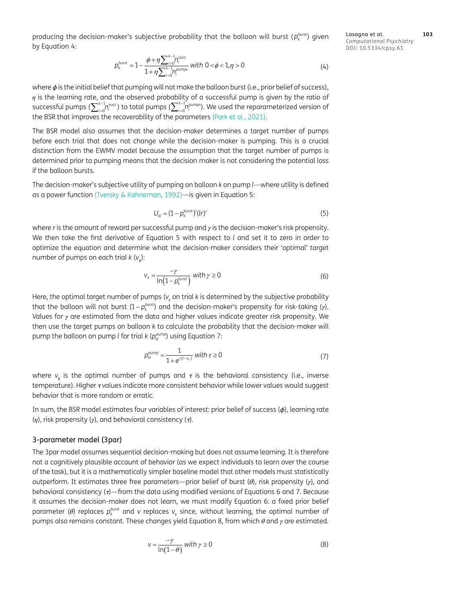producing the decision-maker's subjective probability that the balloon will burst  $(p_k^{\text{burst}})$  given by Equation 4:

Lasagna et al. **103** *Computational Psychiatry* DOI: 10.5334/cpsy.61

$$
p_k^{\text{burst}} = 1 - \frac{\phi + \eta \sum_{i=0}^{k-1} n_i^{\text{succ}}}{1 + \eta \sum_{i=0}^{k-1} n_i^{\text{pumps}}} \text{with } 0 < \phi < 1, \eta > 0 \tag{4}
$$

where  $\phi$  is the initial belief that pumping will not make the balloon burst (i.e., prior belief of success), *η* is the learning rate, and the observed probability of a successful pump is given by the ratio of successful pumps ( $\sum_{i=0}^{k-1}$ n $_i^{\text{succ}}$ ) to total pumps ( $\sum_{i=0}^{k-1}$ n $_i^{\text{pumps}}$ ). We used the reparameterized version of the BSR that improves the recoverability of the parameters ([Park et al., 2021](#page-19-12)).

The BSR model also assumes that the decision-maker determines a target number of pumps before each trial that does not change while the decision-maker is pumping. This is a crucial distinction from the EWMV model because the assumption that the target number of pumps is determined prior to pumping means that the decision maker is not considering the potential loss if the balloon bursts.

The decision-maker's subjective utility of pumping on balloon *k* on pump *l*—where utility is defined as a power function [\(Tversky & Kahneman, 1992\)](#page-20-7)—is given in Equation 5:

$$
U_{kl} = (1 - p_k^{\text{burst}})^l (lr)^{\gamma}
$$
 (5)

where *r* is the amount of reward per successful pump and *γ* is the decision-maker's risk propensity. We then take the first derivative of Equation 5 with respect to *l* and set it to zero in order to optimize the equation and determine what the decision-maker considers their 'optimal' target number of pumps on each trial *k* (*v<sup>k</sup>* ):

$$
v_k = \frac{-\gamma}{\ln\left(1 - p_k^{\text{burst}}\right)} \text{ with } \gamma \ge 0 \tag{6}
$$

Here, the optimal target number of pumps ( $v_{\scriptscriptstyle k}$  on trial  $k$  is determined by the subjective probability that the balloon will not burst  $(1-p_k^{\text{burst}})$  and the decision-maker's propensity for risk-taking  $(γ)$ . Values for *γ* are estimated from the data and higher values indicate greater risk propensity. We then use the target pumps on balloon *k* to calculate the probability that the decision-maker will pump the balloon on pump *l* for trial *k* ( $p_k^{pump}$ ) using Equation 7:

$$
p_{kl}^{pump} = \frac{1}{1 + e^{\tau(l - v_k)}} \text{ with } \tau \ge 0 \tag{7}
$$

where  $v_{\rm k}$  is the optimal number of pumps and  $\tau$  is the behavioral consistency (i.e., inverse temperature). Higher  $\tau$  values indicate more consistent behavior while lower values would suggest behavior that is more random or erratic.

In sum, the BSR model estimates four variables of interest: prior belief of success  $(\phi)$ , learning rate (*η*), risk propensity (*γ*), and behavioral consistency (*τ*).

#### 3-parameter model (3par)

The 3par model assumes sequential decision-making but does not assume learning. It is therefore not a cognitively plausible account of behavior (as we expect individuals to learn over the course of the task), but it is a mathematically simpler baseline model that other models must statistically outperform. It estimates three free parameters—prior belief of burst (*θ*), risk propensity (*γ*), and behavioral consistency  $(r)$ —from the data using modified versions of Equations 6 and 7. Because it assumes the decision-maker does not learn, we must modify Equation 6: a fixed prior belief parameter (θ) replaces  $p_k^{\text{burst}}$  and v replaces  $v_k$  since, without learning, the optimal number of pumps also remains constant. These changes yield Equation 8, from which *θ* and *γ* are estimated.

$$
v = \frac{-\gamma}{\ln(1-\theta)} \text{ with } \gamma \ge 0 \tag{8}
$$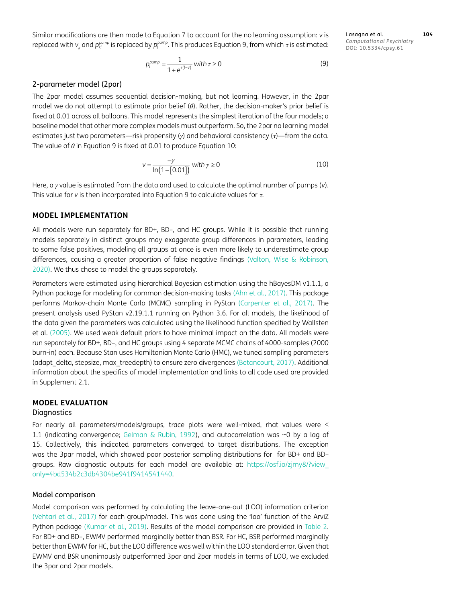Similar modifications are then made to Equation 7 to account for the no learning assumption: *v* is replaced with  $v_{_k}$  and  $p_{^{kl}}^{pump}$  is replaced by  $p_{^l}^{pump}$ . This produces Equation 9, from which  $\tau$  is estimated:

Lasagna et al. **104** *Computational Psychiatry* DOI: 10.5334/cpsy.61

$$
p_l^{pump} = \frac{1}{1 + e^{\tau(l-v)}} \text{ with } \tau \ge 0 \tag{9}
$$

#### 2-parameter model (2par)

The 2par model assumes sequential decision-making, but not learning. However, in the 2par model we do not attempt to estimate prior belief (*θ*). Rather, the decision-maker's prior belief is fixed at 0.01 across all balloons. This model represents the simplest iteration of the four models; a baseline model that other more complex models must outperform. So, the 2par no learning model estimates just two parameters—risk propensity (γ) and behavioral consistency (τ)—from the data. The value of *θ* in Equation 9 is fixed at 0.01 to produce Equation 10:

$$
v = \frac{-\gamma}{\ln(1 - [0.01])} \text{ with } \gamma \ge 0 \tag{10}
$$

Here, a *γ* value is estimated from the data and used to calculate the optimal number of pumps (*v*). This value for  $v$  is then incorporated into Equation 9 to calculate values for  $\tau$ .

## **MODEL IMPLEMENTATION**

All models were run separately for BD+, BD–, and HC groups. While it is possible that running models separately in distinct groups may exaggerate group differences in parameters, leading to some false positives, modeling all groups at once is even more likely to underestimate group differences, causing a greater proportion of false negative findings ([Valton, Wise & Robinson,](#page-20-8) [2020](#page-20-8)). We thus chose to model the groups separately.

Parameters were estimated using hierarchical Bayesian estimation using the hBayesDM v1.1.1, a Python package for modeling for common decision-making tasks [\(Ahn et al., 2017\)](#page-17-1). This package performs Markov-chain Monte Carlo (MCMC) sampling in PyStan [\(Carpenter et al., 2017](#page-17-8)). The present analysis used PyStan v2.19.1.1 running on Python 3.6. For all models, the likelihood of the data given the parameters was calculated using the likelihood function specified by [Wallsten](#page-20-6) [et al. \(2005\)](#page-20-6). We used weak default priors to have minimal impact on the data. All models were run separately for BD+, BD–, and HC groups using 4 separate MCMC chains of 4000-samples (2000 burn-in) each. Because Stan uses Hamiltonian Monte Carlo (HMC), we tuned sampling parameters (adapt\_delta, stepsize, max\_treedepth) to ensure zero divergences [\(Betancourt, 2017\)](#page-17-9). Additional information about the specifics of model implementation and links to all code used are provided in Supplement 2.1.

# **MODEL EVALUATION**

### **Diagnostics**

For nearly all parameters/models/groups, trace plots were well-mixed, rhat values were < 1.1 (indicating convergence; [Gelman & Rubin, 1992\)](#page-18-18), and autocorrelation was ~0 by a lag of 15. Collectively, this indicated parameters converged to target distributions. The exception was the 3par model, which showed poor posterior sampling distributions for for BD+ and BDgroups. Raw diagnostic outputs for each model are available at: https://osf.io/zjmy8/?view\_ only=4bd534b2c3db4304be941f9414541440.

#### Model comparison

Model comparison was performed by calculating the leave-one-out (LOO) information criterion [\(Vehtari et al., 2017\)](#page-20-9) for each group/model. This was done using the 'loo' function of the ArviZ Python package [\(Kumar et al., 2019\)](#page-18-19). Results of the model comparison are provided in [Table 2.](#page-9-0) For BD+ and BD–, EWMV performed marginally better than BSR. For HC, BSR performed marginally better than EWMV for HC, but the LOO difference was well within the LOO standard error. Given that EWMV and BSR unanimously outperformed 3par and 2par models in terms of LOO, we excluded the 3par and 2par models.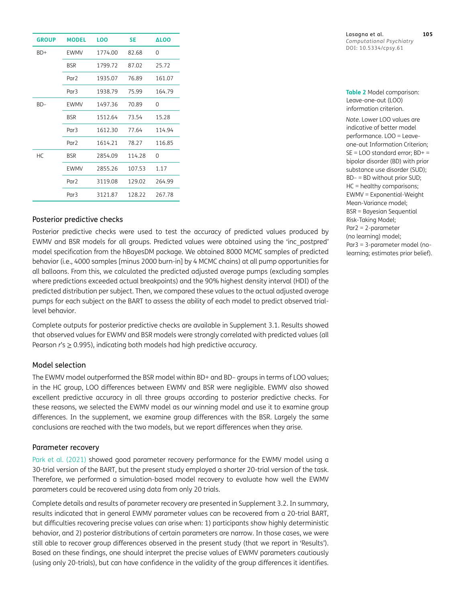| <b>GROUP</b> | <b>MODEL</b>     | LOO     | SE     | <b>ALOO</b> |
|--------------|------------------|---------|--------|-------------|
| $BD+$        | EWMV             | 1774.00 | 82.68  | 0           |
|              | BSR              | 1799.72 | 87.02  | 25.72       |
|              | Par <sub>2</sub> | 1935.07 | 76.89  | 161.07      |
|              | Par <sub>3</sub> | 1938.79 | 75.99  | 164.79      |
| $BD-$        | EWMV             | 1497.36 | 70.89  | 0           |
|              | <b>BSR</b>       | 1512.64 | 73.54  | 15.28       |
|              | Par <sub>3</sub> | 1612.30 | 77.64  | 114.94      |
|              | Par <sub>2</sub> | 1614.21 | 78.27  | 116.85      |
| HC.          | <b>BSR</b>       | 2854.09 | 114.28 | $\Omega$    |
|              | EWMV             | 2855.26 | 107.53 | 1.17        |
|              | Par <sub>2</sub> | 3119.08 | 129.02 | 264.99      |
|              | Par <sub>3</sub> | 3121.87 | 128.22 | 267.78      |

## Posterior predictive checks

Posterior predictive checks were used to test the accuracy of predicted values produced by EWMV and BSR models for all groups. Predicted values were obtained using the 'inc\_postpred' model specification from the hBayesDM package. We obtained 8000 MCMC samples of predicted behavior (i.e., 4000 samples [minus 2000 burn-in] by 4 MCMC chains) at all pump opportunities for all balloons. From this, we calculated the predicted adjusted average pumps (excluding samples where predictions exceeded actual breakpoints) and the 90% highest density interval (HDI) of the predicted distribution per subject. Then, we compared these values to the actual adjusted average pumps for each subject on the BART to assess the ability of each model to predict observed triallevel behavior.

Complete outputs for posterior predictive checks are available in Supplement 3.1. Results showed that observed values for EWMV and BSR models were strongly correlated with predicted values (all Pearson *r's* ≥ 0.995), indicating both models had high predictive accuracy.

## Model selection

The EWMV model outperformed the BSR model within BD+ and BD– groups in terms of LOO values; in the HC group, LOO differences between EWMV and BSR were negligible. EWMV also showed excellent predictive accuracy in all three groups according to posterior predictive checks. For these reasons, we selected the EWMV model as our winning model and use it to examine group differences. In the supplement, we examine group differences with the BSR. Largely the same conclusions are reached with the two models, but we report differences when they arise.

### Parameter recovery

[Park et al. \(2021\) s](#page-19-12)howed good parameter recovery performance for the EWMV model using a 30-trial version of the BART, but the present study employed a shorter 20-trial version of the task. Therefore, we performed a simulation-based model recovery to evaluate how well the EWMV parameters could be recovered using data from only 20 trials.

Complete details and results of parameter recovery are presented in Supplement 3.2. In summary, results indicated that in general EWMV parameter values can be recovered from a 20-trial BART, but difficulties recovering precise values can arise when: 1) participants show highly deterministic behavior, and 2) posterior distributions of certain parameters are narrow. In those cases, we were still able to recover group differences observed in the present study (that we report in 'Results'). Based on these findings, one should interpret the precise values of EWMV parameters cautiously (using only 20-trials), but can have confidence in the validity of the group differences it identifies.

<span id="page-9-0"></span>**Table 2** Model comparison: Leave-one-out (LOO) information criterion.

*Note.* Lower LOO values are indicative of better model performance. LOO = Leaveone-out Information Criterion; SE = LOO standard error; BD+ = bipolar disorder (BD) with prior substance use disorder (SUD); BD– = BD without prior SUD; HC = healthy comparisons; EWMV = Exponential-Weight Mean-Variance model; BSR = Bayesian Sequential Risk-Taking Model; Par2 = 2-parameter (no learning) model; Par3 = 3-parameter model (nolearning; estimates prior belief).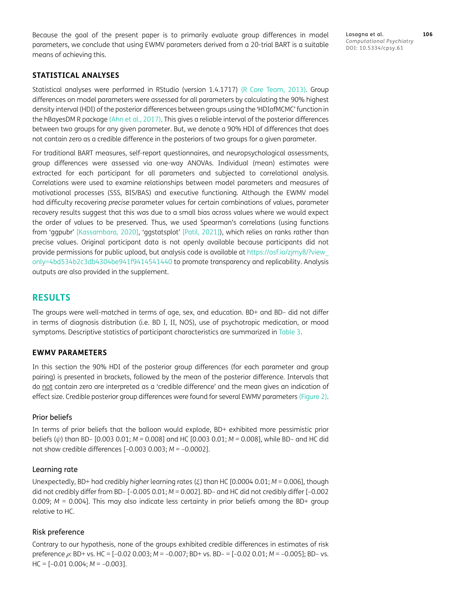Because the goal of the present paper is to primarily evaluate group differences in model parameters, we conclude that using EWMV parameters derived from a 20-trial BART is a suitable means of achieving this.

Lasagna et al. **106** *Computational Psychiatry* DOI: 10.5334/cpsy.61

## **STATISTICAL ANALYSES**

Statistical analyses were performed in RStudio (version 1.4.1717) ([R Core Team, 2013](#page-19-14)). Group differences on model parameters were assessed for all parameters by calculating the 90% highest density interval (HDI) of the posterior differences between groups using the 'HDIofMCMC' function in the hBayesDM R package [\(Ahn et al., 2017\)](#page-17-1). This gives a reliable interval of the posterior differences between two groups for any given parameter. But, we denote a 90% HDI of differences that does not contain zero as a credible difference in the posteriors of two groups for a given parameter.

For traditional BART measures, self-report questionnaires, and neuropsychological assessments, group differences were assessed via one-way ANOVAs. Individual (mean) estimates were extracted for each participant for all parameters and subjected to correlational analysis. Correlations were used to examine relationships between model parameters and measures of motivational processes (SSS, BIS/BAS) and executive functioning. Although the EWMV model had difficulty recovering *precise* parameter values for certain combinations of values, parameter recovery results suggest that this was due to a small bias across values where we would expect the order of values to be preserved. Thus, we used Spearman's correlations (using functions from 'ggpubr' [\[Kassambara, 2020](#page-18-20)], 'ggstatsplot' [[Patil, 2021\]](#page-19-15)), which relies on ranks rather than precise values. Original participant data is not openly available because participants did not provide permissions for public upload, but analysis code is available at [https://osf.io/zjmy8/?view\\_](https://osf.io/zjmy8/?view_only=4bd534b2c3db4304be941f9414541440) [only=4bd534b2c3db4304be941f9414541440](https://osf.io/zjmy8/?view_only=4bd534b2c3db4304be941f9414541440) to promote transparency and replicability. Analysis outputs are also provided in the supplement.

# **RESULTS**

The groups were well-matched in terms of age, sex, and education. BD+ and BD– did not differ in terms of diagnosis distribution (i.e. BD I, II, NOS), use of psychotropic medication, or mood symptoms. Descriptive statistics of participant characteristics are summarized in [Table 3](#page-11-0).

#### **EWMV PARAMETERS**

In this section the 90% HDI of the posterior group differences (for each parameter and group pairing) is presented in brackets, followed by the mean of the posterior difference. Intervals that do not contain zero are interpreted as a 'credible difference' and the mean gives an indication of effect size. Credible posterior group differences were found for several EWMV parameters ([Figure 2\)](#page-11-1).

#### Prior beliefs

In terms of prior beliefs that the balloon would explode, BD+ exhibited more pessimistic prior beliefs (*ψ*) than BD– [0.003 0.01; *M =* 0.008] and HC [0.003 0.01; *M =* 0.008], while BD– and HC did not show credible differences [–0.003 0.003; *M =* –0.0002].

#### Learning rate

Unexpectedly, BD+ had credibly *higher* learning rates (*ξ*) than HC [0.0004 0.01; *M* = 0.006], though did not credibly differ from BD– [–0.005 0.01; *M* = 0.002]. BD– and HC did not credibly differ [–0.002 0.009; *M* = 0.004]. This may also indicate less certainty in prior beliefs among the BD+ group relative to HC.

#### Risk preference

Contrary to our hypothesis, none of the groups exhibited credible differences in estimates of risk preference *ρ*: BD+ vs. HC = [–0.02 0.003; *M* = –0.007; BD+ vs. BD– = [–0.02 0.01; *M* = –0.005]; BD– vs. HC = [–0.01 0.004; *M* = –0.003].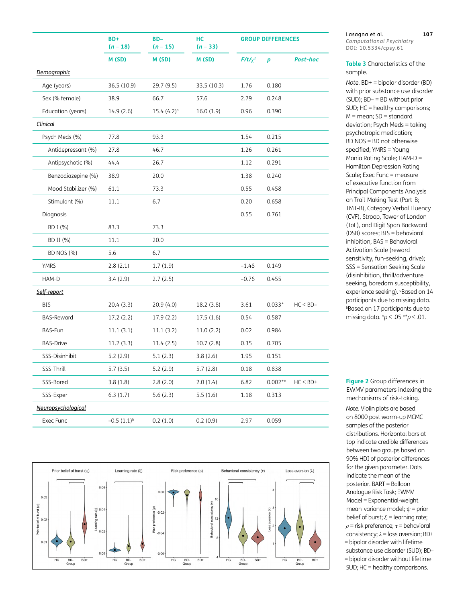|                     | B <sub>D+</sub><br>$(n = 18)$ | BD-<br>$(n = 15)$ | HС<br>$(n = 33)$ | <b>GROUP DIFFERENCES</b> |           |             |
|---------------------|-------------------------------|-------------------|------------------|--------------------------|-----------|-------------|
|                     | M (SD)                        | M (SD)            | M (SD)           | $F/t/\chi^2$             | p         | Post-hoc    |
| Demographic         |                               |                   |                  |                          |           |             |
| Age (years)         | 36.5 (10.9)                   | 29.7 (9.5)        | 33.5 (10.3)      | 1.76                     | 0.180     |             |
| Sex (% female)      | 38.9                          | 66.7              | 57.6             | 2.79                     | 0.248     |             |
| Education (years)   | 14.9 (2.6)                    | 15.4(4.2)°        | 16.0(1.9)        | 0.96                     | 0.390     |             |
| <b>Clinical</b>     |                               |                   |                  |                          |           |             |
| Psych Meds (%)      | 77.8                          | 93.3              |                  | 1.54                     | 0.215     |             |
| Antidepressant (%)  | 27.8                          | 46.7              |                  | 1.26                     | 0.261     |             |
| Antipsychotic (%)   | 44.4                          | 26.7              |                  | 1.12                     | 0.291     |             |
| Benzodiazepine (%)  | 38.9                          | 20.0              |                  | 1.38                     | 0.240     |             |
| Mood Stabilizer (%) | 61.1                          | 73.3              |                  | 0.55                     | 0.458     |             |
| Stimulant (%)       | 11.1                          | 6.7               |                  | 0.20                     | 0.658     |             |
| Diagnosis           |                               |                   |                  | 0.55                     | 0.761     |             |
| BD I (%)            | 83.3                          | 73.3              |                  |                          |           |             |
| BD II (%)           | 11.1                          | 20.0              |                  |                          |           |             |
| BD NOS (%)          | 5.6                           | 6.7               |                  |                          |           |             |
| <b>YMRS</b>         | 2.8(2.1)                      | 1.7(1.9)          |                  | $-1.48$                  | 0.149     |             |
| HAM-D               | 3.4(2.9)                      | 2.7(2.5)          |                  | $-0.76$                  | 0.455     |             |
| Self-report         |                               |                   |                  |                          |           |             |
| <b>BIS</b>          | 20.4 (3.3)                    | 20.9(4.0)         | 18.2 (3.8)       | 3.61                     | $0.033*$  | $HC < BD -$ |
| <b>BAS-Reward</b>   | 17.2 (2.2)                    | 17.9 (2.2)        | 17.5(1.6)        | 0.54                     | 0.587     |             |
| BAS-Fun             | 11.1(3.1)                     | 11.1(3.2)         | 11.0(2.2)        | 0.02                     | 0.984     |             |
| <b>BAS-Drive</b>    | 11.2(3.3)                     | 11.4(2.5)         | 10.7(2.8)        | 0.35                     | 0.705     |             |
| SSS-Disinhibit      | 5.2 (2.9)                     | 5.1(2.3)          | 3.8(2.6)         | 1.95                     | 0.151     |             |
| SSS-Thrill          | 5.7(3.5)                      | 5.2(2.9)          | 5.7(2.8)         | 0.18                     | 0.838     |             |
| SSS-Bored           | 3.8(1.8)                      | 2.8(2.0)          | 2.0(1.4)         | 6.82                     | $0.002**$ | $HC < BD+$  |
| SSS-Exper           | 6.3(1.7)                      | 5.6(2.3)          | 5.5(1.6)         | 1.18                     | 0.313     |             |
| Neuropsychological  |                               |                   |                  |                          |           |             |
| Exec Func           | $-0.5(1.1)^{b}$               | 0.2(1.0)          | 0.2(0.9)         | 2.97                     | 0.059     |             |



Lasagna et al. **107** *Computational Psychiatry* DOI: 10.5334/cpsy.61

<span id="page-11-0"></span>**Table 3** Characteristics of the sample.

*Note.* BD+ = bipolar disorder (BD) with prior substance use disorder (SUD); BD– = BD without prior SUD; HC = healthy comparisons;  $M =$  mean;  $SD =$  standard deviation; Psych Meds = taking psychotropic medication; BD NOS = BD not otherwise specified; YMRS = Young Mania Rating Scale; HAM-D = Hamilton Depression Rating Scale; Exec Func = measure of executive function from Principal Components Analysis on Trail-Making Test (Part-B; TMT-B), Category Verbal Fluency (CVF), Stroop, Tower of London (ToL), and Digit Span Backward (DSB) scores; BIS = behavioral inhibition; BAS = Behavioral Activation Scale (reward sensitivity, fun-seeking, drive); SSS = Sensation Seeking Scale (disinhibition, thrill/adventure seeking, boredom susceptibility, experience seeking). <sup>a</sup>Based on 14 participants due to missing data. b Based on 17 participants due to missing data. \**p* < .05 \*\**p* < .01.

<span id="page-11-1"></span>**Figure 2** Group differences in EWMV parameters indexing the mechanisms of risk-taking.

*Note.* Violin plots are based on 8000 post warm-up MCMC samples of the posterior distributions. Horizontal bars at top indicate credible differences between two groups based on 90% HDI of posterior differences for the given parameter. Dots indicate the mean of the posterior. BART = Balloon Analogue Risk Task; EWMV Model = Exponential-weight mean-variance model; *ψ* = prior belief of burst; *ξ* = learning rate;  $\rho$  = risk preference;  $\tau$  = behavioral consistency; *λ* = loss aversion; BD+ = bipolar disorder with lifetime substance use disorder (SUD); BD– = bipolar disorder without lifetime SUD; HC = healthy comparisons.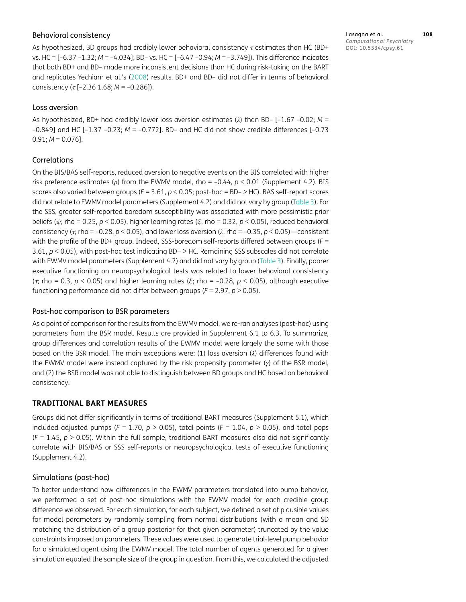## Behavioral consistency

As hypothesized, BD groups had credibly lower behavioral consistency  $\tau$  estimates than HC (BD+ vs. HC = [–6.37 –1.32; *M =* –4.034]; BD– vs. HC = [–6.47 –0.94; *M =* –3.749]). This difference indicates that both BD+ and BD– made more inconsistent decisions than HC during risk-taking on the BART and replicates Yechiam et al.'s (2008) results. BD+ and BD– did not differ in terms of behavioral consistency ( $\tau$  [-2.36 1.68; *M* = -0.286]).

## Loss aversion

As hypothesized, BD+ had credibly lower loss aversion estimates (*λ*) than BD– [–1.67 –0.02; *M* = –0.849] and HC [–1.37 –0.23; *M* = –0.772]. BD– and HC did not show credible differences [–0.73  $0.91; M = 0.076$ ].

## Correlations

On the BIS/BAS self-reports, reduced aversion to negative events on the BIS correlated with higher risk preference estimates (*ρ*) from the EWMV model, rho = –0.44, *p <* 0.01 (Supplement 4.2). BIS scores also varied between groups (*F* = 3.61, *p* < 0.05; post-hoc = BD– > HC). BAS self-report scores did not relate to EWMV model parameters (Supplement 4.2) and did not vary by group [\(Table 3](#page-11-0)). For the SSS, greater self-reported boredom susceptibility was associated with more pessimistic prior beliefs (*ψ*; rho = 0.25, *p <* 0.05), higher learning rates (*ξ*; rho = 0.32, *p* < 0.05), reduced behavioral consistency ( $\tau$ , rho = -0.28,  $p < 0.05$ ), and lower loss aversion ( $\lambda$ ; rho = -0.35,  $p < 0.05$ )—consistent with the profile of the BD+ group. Indeed, SSS-boredom self-reports differed between groups (*F* = 3.61, *p* < 0.05), with post-hoc test indicating BD+ > HC. Remaining SSS subscales did not correlate with EWMV model parameters (Supplement 4.2) and did not vary by group [\(Table 3](#page-11-0)). Finally, poorer executive functioning on neuropsychological tests was related to lower behavioral consistency (; rho = 0.3, *p <* 0.05) and higher learning rates (*ξ*; rho = –0.28, *p* < 0.05), although executive functioning performance did not differ between groups (*F* = 2.97, *p* > 0.05).

## Post-hoc comparison to BSR parameters

As a point of comparison for the results from the EWMV model, we re-ran analyses (post-hoc) using parameters from the BSR model. Results are provided in Supplement 6.1 to 6.3. To summarize, group differences and correlation results of the EWMV model were largely the same with those based on the BSR model. The main exceptions were: (1) loss aversion (*λ*) differences found with the EWMV model were instead captured by the risk propensity parameter (*γ*) of the BSR model, and (2) the BSR model was not able to distinguish between BD groups and HC based on behavioral consistency.

# **TRADITIONAL BART MEASURES**

Groups did not differ significantly in terms of traditional BART measures (Supplement 5.1), which included adjusted pumps ( $F = 1.70$ ,  $p > 0.05$ ), total points ( $F = 1.04$ ,  $p > 0.05$ ), and total pops  $(F = 1.45, p > 0.05)$ . Within the full sample, traditional BART measures also did not significantly correlate with BIS/BAS or SSS self-reports or neuropsychological tests of executive functioning (Supplement 4.2).

## Simulations (post-hoc)

To better understand how differences in the EWMV parameters translated into pump behavior, we performed a set of post-hoc simulations with the EWMV model for each credible group difference we observed. For each simulation, for each subject, we defined a set of plausible values for model parameters by randomly sampling from normal distributions (with a mean and SD matching the distribution of a group posterior for that given parameter) truncated by the value constraints imposed on parameters. These values were used to generate trial-level pump behavior for a simulated agent using the EWMV model. The total number of agents generated for a given simulation equaled the sample size of the group in question. From this, we calculated the adjusted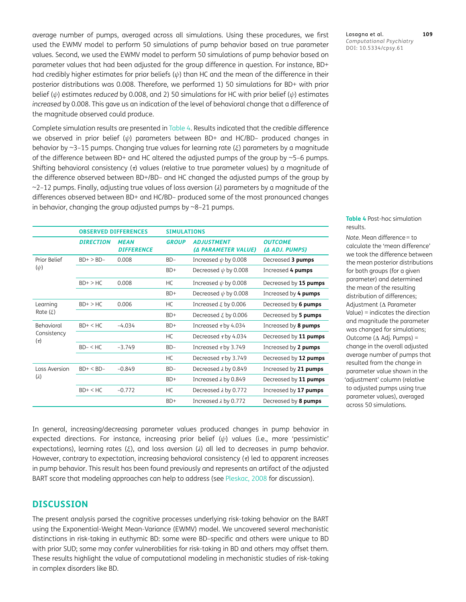average number of pumps, averaged across all simulations. Using these procedures, we first used the EWMV model to perform 50 simulations of pump behavior based on true parameter values. Second, we used the EWMV model to perform 50 simulations of pump behavior based on parameter values that had been adjusted for the group difference in question. For instance, BD+ had credibly higher estimates for prior beliefs (*ψ*) than HC and the mean of the difference in their posterior distributions was 0.008. Therefore, we performed 1) 50 simulations for BD+ with prior belief (*ψ*) estimates *reduced* by 0.008, and 2) 50 simulations for HC with prior belief (*ψ*) estimates *increased* by 0.008. This gave us an indication of the level of behavioral change that a difference of the magnitude observed could produce.

Complete simulation results are presented in [Table 4.](#page-13-0) Results indicated that the credible difference we observed in prior belief (*ψ*) parameters between BD+ and HC/BD– produced changes in behavior by ~3–15 pumps. Changing true values for learning rate (*ξ*) parameters by a magnitude of the difference between BD+ and HC altered the adjusted pumps of the group by ~5–6 pumps. Shifting behavioral consistency  $(7)$  values (relative to true parameter values) by a magnitude of the difference observed between BD+/BD– and HC changed the adjusted pumps of the group by ~2–12 pumps. Finally, adjusting true values of loss aversion (*λ*) parameters by a magnitude of the differences observed between BD+ and HC/BD– produced some of the most pronounced changes in behavior, changing the group adjusted pumps by ~8–21 pumps.

| <b>DIRECTION</b> | <b>MFAN</b><br><b>DIFFERENCE</b> | <b>GROUP</b>                | <b>ADJUSTMENT</b><br><b>(A PARAMETER VALUE)</b> | <b>OUTCOME</b><br>(A ADJ. PUMPS) |
|------------------|----------------------------------|-----------------------------|-------------------------------------------------|----------------------------------|
| $BD+$ > $BD-$    | 0.008                            | $BD-$                       | Increased $\psi$ by 0.008                       | Decreased 3 pumps                |
|                  |                                  | $BD+$                       | Decreased $\psi$ by 0.008                       | Increased 4 pumps                |
| $BD+$ > HC       | 0.008                            | HC.                         | Increased $\psi$ by 0.008                       | Decreased by 15 pumps            |
|                  |                                  | $BD+$                       | Decreased $\psi$ by 0.008                       | Increased by 4 pumps             |
| $BD+>HC$         | 0.006                            | HC.                         | Increased $\xi$ by 0.006                        | Decreased by 6 pumps             |
|                  |                                  | $BD+$                       | Decreased $\xi$ by 0.006                        | Decreased by 5 pumps             |
| $BD+ < HC$       | $-4.034$                         | $BD+$                       | Increased $\tau$ by 4.034                       | Increased by 8 pumps             |
|                  |                                  | HC.                         | Decreased $\tau$ by 4.034                       | Decreased by 11 pumps            |
| $BD - < HC$      | $-3.749$                         | $BD-$                       | Increased $\tau$ by 3.749                       | Increased by 2 pumps             |
|                  |                                  | HC.                         | Decreased $\tau$ by 3.749                       | Decreased by 12 pumps            |
| $BD+ < BD-$      | $-0.849$                         | $BD-$                       | Decreased $\lambda$ by 0.849                    | Increased by 21 pumps            |
|                  |                                  | $BD+$                       | Increased $\lambda$ by 0.849                    | Decreased by 11 pumps            |
| $BD+ < HC$       | $-0.772$                         | HC.                         | Decreased $\lambda$ by 0.772                    | Increased by 17 pumps            |
|                  |                                  | $BD+$                       | Increased $\lambda$ by 0.772                    | Decreased by 8 pumps             |
|                  |                                  | <b>OBSERVED DIFFERENCES</b> |                                                 | <b>SIMULATIONS</b>               |

In general, increasing/decreasing parameter values produced changes in pump behavior in expected directions. For instance, increasing prior belief (*ψ*) values (i.e., more 'pessimistic' expectations), learning rates (*ξ*), and loss aversion (*λ*) all led to decreases in pump behavior. However, contrary to expectation, increasing behavioral consistency  $(\tau)$  led to apparent increases in pump behavior. This result has been found previously and represents an artifact of the adjusted BART score that modeling approaches can help to address (see [Pleskac, 2008](#page-19-3) for discussion).

# **DISCUSSION**

The present analysis parsed the cognitive processes underlying risk-taking behavior on the BART using the Exponential-Weight Mean-Variance (EWMV) model. We uncovered several mechanistic distinctions in risk-taking in euthymic BD: some were BD–specific and others were unique to BD with prior SUD; some may confer vulnerabilities for risk-taking in BD and others may offset them. These results highlight the value of computational modeling in mechanistic studies of risk-taking in complex disorders like BD.

Lasagna et al. **109** *Computational Psychiatry* DOI: 10.5334/cpsy.61

<span id="page-13-0"></span>**Table 4** Post-hoc simulation results.

*Note.* Mean difference = to calculate the 'mean difference' we took the difference between the mean posterior distributions for both groups (for a given parameter) and determined the mean of the resulting distribution of differences; Adjustment (∆ Parameter Value) = indicates the direction and magnitude the parameter was changed for simulations; Outcome (∆ Adj. Pumps) = change in the overall adjusted average number of pumps that resulted from the change in parameter value shown in the 'adjustment' column (relative to adjusted pumps using true parameter values), averaged across 50 simulations.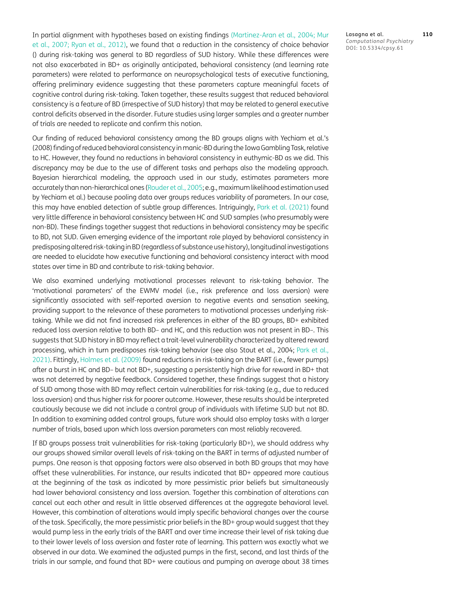In partial alignment with hypotheses based on existing findings [\(Martinez-Aran et al., 2004;](#page-19-5) Mur et al., 2007; [Ryan et al., 2012\)](#page-19-6), we found that a reduction in the consistency of choice behavior () during risk-taking was general to BD regardless of SUD history. While these differences were not also exacerbated in BD+ as originally anticipated, behavioral consistency (and learning rate parameters) were related to performance on neuropsychological tests of executive functioning, offering preliminary evidence suggesting that these parameters capture meaningful facets of cognitive control during risk-taking. Taken together, these results suggest that reduced behavioral consistency is a feature of BD (irrespective of SUD history) that may be related to general executive control deficits observed in the disorder. Future studies using larger samples and a greater number of trials are needed to replicate and confirm this notion.

Our finding of reduced behavioral consistency among the BD groups aligns with Yechiam et al.'s (2008) finding of reduced behavioral consistency in manic-BD during the Iowa Gambling Task, relative to HC. However, they found no reductions in behavioral consistency in euthymic-BD as we did. This discrepancy may be due to the use of different tasks and perhaps also the modeling approach. Bayesian hierarchical modeling, the approach used in our study, estimates parameters more accurately than non-hierarchical ones [\(Rouder et al., 2005](#page-19-16); e.g., maximum likelihood estimation used by Yechiam et al.) because pooling data over groups reduces variability of parameters. In our case, this may have enabled detection of subtle group differences. Intriguingly, [Park et al. \(2021\) f](#page-19-12)ound very little difference in behavioral consistency between HC and SUD samples (who presumably were non-BD). These findings together suggest that reductions in behavioral consistency may be specific to BD, not SUD. Given emerging evidence of the important role played by behavioral consistency in predisposing altered risk-taking in BD (regardless of substance use history), longitudinal investigations are needed to elucidate how executive functioning and behavioral consistency interact with mood states over time in BD and contribute to risk-taking behavior.

We also examined underlying motivational processes relevant to risk-taking behavior. The 'motivational parameters' of the EWMV model (i.e., risk preference and loss aversion) were significantly associated with self-reported aversion to negative events and sensation seeking, providing support to the relevance of these parameters to motivational processes underlying risktaking. While we did not find increased risk preferences in either of the BD groups, BD+ exhibited reduced loss aversion relative to both BD– and HC, and this reduction was not present in BD–. This suggests that SUD history in BD may reflect a trait-level vulnerability characterized by altered reward processing, which in turn predisposes risk-taking behavior (see also Stout et al., 2004; [Park et al.,](#page-19-12) [2021\).](#page-19-12) Fittingly, [Holmes et al. \(2009\) f](#page-18-7)ound reductions in risk-taking on the BART (i.e., fewer pumps) after a burst in HC and BD– but not BD+, suggesting a persistently high drive for reward in BD+ that was not deterred by negative feedback. Considered together, these findings suggest that a history of SUD among those with BD may reflect certain vulnerabilities for risk-taking (e.g., due to reduced loss aversion) and thus higher risk for poorer outcome. However, these results should be interpreted cautiously because we did not include a control group of individuals with lifetime SUD but not BD. In addition to examining added control groups, future work should also employ tasks with a larger number of trials, based upon which loss aversion parameters can most reliably recovered.

If BD groups possess trait vulnerabilities for risk-taking (particularly BD+), we should address why our groups showed similar overall levels of risk-taking on the BART in terms of adjusted number of pumps. One reason is that opposing factors were also observed in both BD groups that may have offset these vulnerabilities. For instance, our results indicated that BD+ appeared more cautious at the beginning of the task as indicated by more pessimistic prior beliefs but simultaneously had lower behavioral consistency and loss aversion. Together this combination of alterations can cancel out each other and result in little observed differences at the aggregate behavioral level. However, this combination of alterations would imply specific behavioral changes over the course of the task. Specifically, the more pessimistic prior beliefs in the BD+ group would suggest that they would pump less in the early trials of the BART and over time increase their level of risk taking due to their lower levels of loss aversion and faster rate of learning. This pattern was exactly what we observed in our data. We examined the adjusted pumps in the first, second, and last thirds of the trials in our sample, and found that BD+ were cautious and pumping on average about 38 times Lasagna et al. **110** *Computational Psychiatry* DOI: 10.5334/cpsy.61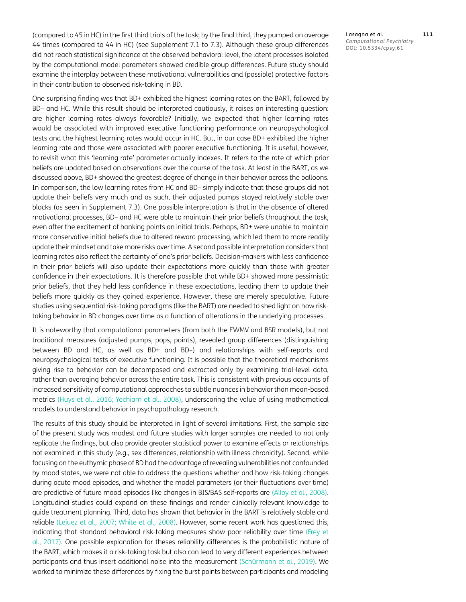(compared to 45 in HC) in the first third trials of the task; by the final third, they pumped on average 44 times (compared to 44 in HC) (see Supplement 7.1 to 7.3). Although these group differences did not reach statistical significance at the observed behavioral level, the latent processes isolated by the computational model parameters showed credible group differences. Future study should examine the interplay between these motivational vulnerabilities and (possible) protective factors in their contribution to observed risk-taking in BD.

One surprising finding was that BD+ exhibited the highest learning rates on the BART, followed by BD– and HC. While this result should be interpreted cautiously, it raises an interesting question: are higher learning rates always favorable? Initially, we expected that higher learning rates would be associated with improved executive functioning performance on neuropsychological tests and the highest learning rates would occur in HC. But, in our case BD+ exhibited the higher learning rate and those were associated with poorer executive functioning. It is useful, however, to revisit what this 'learning rate' parameter actually indexes. It refers to the rate at which prior beliefs are updated based on observations over the course of the task. At least in the BART, as we discussed above, BD+ showed the greatest degree of change in their behavior across the balloons. In comparison, the low learning rates from HC and BD– simply indicate that these groups did not update their beliefs very much and as such, their adjusted pumps stayed relatively stable over blocks (as seen in Supplement 7.3). One possible interpretation is that in the absence of altered motivational processes, BD– and HC were able to maintain their prior beliefs throughout the task, even after the excitement of banking points on initial trials. Perhaps, BD+ were unable to maintain more conservative initial beliefs due to altered reward processing, which led them to more readily update their mindset and take more risks over time. A second possible interpretation considers that learning rates also reflect the certainty of one's prior beliefs. Decision-makers with less confidence in their prior beliefs will also update their expectations more quickly than those with greater confidence in their expectations. It is therefore possible that while BD+ showed more pessimistic prior beliefs, that they held less confidence in these expectations, leading them to update their beliefs more quickly as they gained experience. However, these are merely speculative. Future studies using sequential risk-taking paradigms (like the BART) are needed to shed light on how risktaking behavior in BD changes over time as a function of alterations in the underlying processes.

It is noteworthy that computational parameters (from both the EWMV and BSR models), but not traditional measures (adjusted pumps, pops, points), revealed group differences (distinguishing between BD and HC, as well as BD+ and BD–) and relationships with self-reports and neuropsychological tests of executive functioning. It is possible that the theoretical mechanisms giving rise to behavior can be decomposed and extracted only by examining trial-level data, rather than averaging behavior across the entire task. This is consistent with previous accounts of increased sensitivity of computational approaches to subtle nuances in behavior than mean-based metrics [\(Huys et al., 2016](#page-18-13); Yechiam et al., 2008), underscoring the value of using mathematical models to understand behavior in psychopathology research.

The results of this study should be interpreted in light of several limitations. First, the sample size of the present study was modest and future studies with larger samples are needed to not only replicate the findings, but also provide greater statistical power to examine effects or relationships not examined in this study (e.g., sex differences, relationship with illness chronicity). Second, while focusing on the euthymic phase of BD had the advantage of revealing vulnerabilities not confounded by mood states, we were not able to address the questions whether and how risk-taking changes during acute mood episodes, and whether the model parameters (or their fluctuations over time) are predictive of future mood episodes like changes in BIS/BAS self-reports are [\(Alloy et al., 2008](#page-17-7)). Longitudinal studies could expand on these findings and render clinically relevant knowledge to guide treatment planning. Third, data has shown that behavior in the BART is relatively stable and reliable [\(Lejuez et al., 2007;](#page-18-21) [White et al., 2008](#page-20-10)). However, some recent work has questioned this, indicating that standard behavioral risk-taking measures show poor reliability over time ([Frey et](#page-18-15) [al., 2017](#page-18-15)). One possible explanation for theses reliability differences is the probabilistic nature of the BART, which makes it a risk-taking task but also can lead to very different experiences between participants and thus insert additional noise into the measurement (Schürmann et al., 2019). We worked to minimize these differences by fixing the burst points between participants and modeling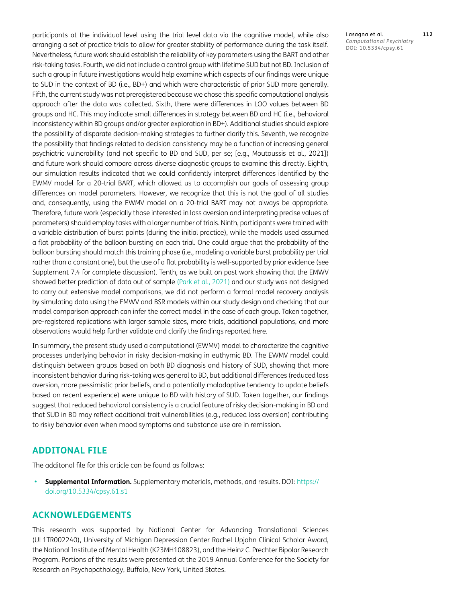participants at the individual level using the trial level data via the cognitive model, while also arranging a set of practice trials to allow for greater stability of performance during the task itself. Nevertheless, future work should establish the reliability of key parameters using the BART and other risk-taking tasks. Fourth, we did not include a control group with lifetime SUD but not BD. Inclusion of such a group in future investigations would help examine which aspects of our findings were unique to SUD in the context of BD (i.e., BD+) and which were characteristic of prior SUD more generally. Fifth, the current study was not preregistered because we chose this specific computational analysis approach after the data was collected. Sixth, there were differences in LOO values between BD groups and HC. This may indicate small differences in strategy between BD and HC (i.e., behavioral inconsistency within BD groups and/or greater exploration in BD+). Additional studies should explore the possibility of disparate decision-making strategies to further clarify this. Seventh, we recognize the possibility that findings related to decision consistency may be a function of increasing general psychiatric vulnerability (and not specific to BD and SUD, per se; [e.g., Moutoussis et al., 2021]) and future work should compare across diverse diagnostic groups to examine this directly. Eighth, our simulation results indicated that we could confidently interpret differences identified by the EWMV model for a 20-trial BART, which allowed us to accomplish our goals of assessing group differences on model parameters. However, we recognize that this is not the goal of all studies and, consequently, using the EWMV model on a 20-trial BART may not always be appropriate. Therefore, future work (especially those interested in loss aversion and interpreting precise values of parameters) should employ tasks with a larger number of trials. Ninth, participants were trained with a variable distribution of burst points (during the initial practice), while the models used assumed a flat probability of the balloon bursting on each trial. One could argue that the probability of the balloon bursting should match this training phase (i.e., modeling a variable burst probability per trial rather than a constant one), but the use of a flat probability is well-supported by prior evidence (see Supplement 7.4 for complete discussion). Tenth, as we built on past work showing that the EMWV showed better prediction of data out of sample ([Park et al., 2021](#page-19-12)) and our study was not designed to carry out extensive model comparisons, we did not perform a formal model recovery analysis by simulating data using the EMWV and BSR models within our study design and checking that our model comparison approach can infer the correct model in the case of each group. Taken together, pre-registered replications with larger sample sizes, more trials, additional populations, and more observations would help further validate and clarify the findings reported here.

In summary, the present study used a computational (EWMV) model to characterize the cognitive processes underlying behavior in risky decision-making in euthymic BD. The EWMV model could distinguish between groups based on both BD diagnosis and history of SUD, showing that more inconsistent behavior during risk-taking was general to BD, but additional differences (reduced loss aversion, more pessimistic prior beliefs, and a potentially maladaptive tendency to update beliefs based on recent experience) were unique to BD with history of SUD. Taken together, our findings suggest that reduced behavioral consistency is a crucial feature of risky decision-making in BD and that SUD in BD may reflect additional trait vulnerabilities (e.g., reduced loss aversion) contributing to risky behavior even when mood symptoms and substance use are in remission.

# **ADDITONAL FILE**

The additonal file for this article can be found as follows:

**• Supplemental Information.** Supplementary materials, methods, and results. DOI: [https://](https://doi.org/10.5334/cpsy.61.s1) [doi.org/10.5334/cpsy.61.s1](https://doi.org/10.5334/cpsy.61.s1)

# **ACKNOWLEDGEMENTS**

This research was supported by National Center for Advancing Translational Sciences (UL1TR002240), University of Michigan Depression Center Rachel Upjohn Clinical Scholar Award, the National Institute of Mental Health (K23MH108823), and the Heinz C. Prechter Bipolar Research Program. Portions of the results were presented at the 2019 Annual Conference for the Society for Research on Psychopathology, Buffalo, New York, United States.

Lasagna et al. **112** *Computational Psychiatry* DOI: 10.5334/cpsy.61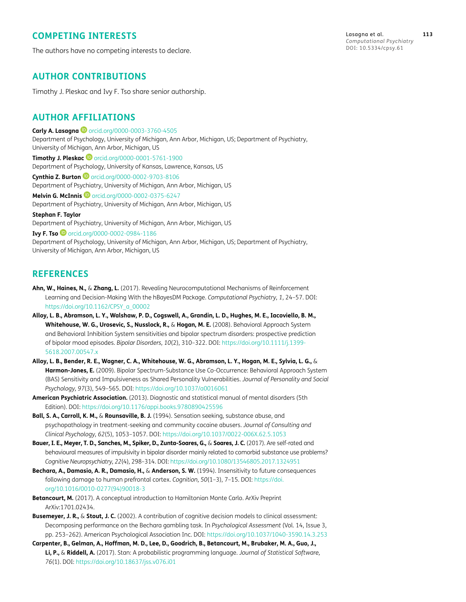# **COMPETING INTERESTS**

The authors have no competing interests to declare.

Lasagna et al. **113** *Computational Psychiatry* DOI: 10.5334/cpsy.61

# **AUTHOR CONTRIBUTIONS**

Timothy J. Pleskac and Ivy F. Tso share senior authorship.

# <span id="page-17-0"></span>**AUTHOR AFFILIATIONS**

**Carly A. Lasagna <sup>1</sup>** [orcid.org/0000-0003-3760-4505](https://orcid.org/0000-0003-3760-4505)

Department of Psychology, University of Michigan, Ann Arbor, Michigan, US; Department of Psychiatry, University of Michigan, Ann Arbor, Michigan, US

**Timothy J. Pleskac ©** [orcid.org/0000-0001-5761-1900](https://orcid.org/0000-0001-5761-1900) Department of Psychology, University of Kansas, Lawrence, Kansas, US

**Cynthia Z. Burton iD** [orcid.org/0000-0002-9703-8106](https://orcid.org/0000-0002-9703-8106) Department of Psychiatry, University of Michigan, Ann Arbor, Michigan, US **Melvin G. McInnis D** [orcid.org/0000-0002-0375-6247](https://orcid.org/0000-0002-0375-6247)

Department of Psychiatry, University of Michigan, Ann Arbor, Michigan, US

**Stephan F. Taylor** Department of Psychiatry, University of Michigan, Ann Arbor, Michigan, US

**Ivy F. Tso C**[orcid.org/0000-0002-0984-1186](https://orcid.org/0000-0002-0984-1186)

Department of Psychology, University of Michigan, Ann Arbor, Michigan, US; Department of Psychiatry, University of Michigan, Ann Arbor, Michigan, US

# **REFERENCES**

- <span id="page-17-1"></span>**Ahn, W., Haines, N.,** & **Zhang, L.** (2017). Revealing Neurocomputational Mechanisms of Reinforcement Learning and Decision-Making With the hBayesDM Package. *Computational Psychiatry, 1*, 24–57. DOI: [https://doi.org/10.1162/CPSY\\_a\\_00002](https://doi.org/10.1162/CPSY_a_00002 )
- <span id="page-17-7"></span>**Alloy, L. B., Abramson, L. Y., Walshaw, P. D., Cogswell, A., Grandin, L. D., Hughes, M. E., Iacoviello, B. M., Whitehouse, W. G., Urosevic, S., Nusslock, R.,** & **Hogan, M. E.** (2008). Behavioral Approach System and Behavioral Inhibition System sensitivities and bipolar spectrum disorders: prospective prediction of bipolar mood episodes. *Bipolar Disorders, 10*(2), 310–322. DOI: [https://doi.org/10.1111/j.1399-](https://doi.org/10.1111/j.1399-5618.2007.00547.x ) [5618.2007.00547.x](https://doi.org/10.1111/j.1399-5618.2007.00547.x )
- **Alloy, L. B., Bender, R. E., Wagner, C. A., Whitehouse, W. G., Abramson, L. Y., Hogan, M. E., Sylvia, L. G.,** & **Harmon-Jones, E.** (2009). Bipolar Spectrum-Substance Use Co-Occurrence: Behavioral Approach System (BAS) Sensitivity and Impulsiveness as Shared Personality Vulnerabilities. *Journal of Personality and Social Psychology, 97*(3), 549–565. DOI: [https://doi.org/10.1037/a0016061](https://doi.org/10.1037/a0016061 )
- <span id="page-17-6"></span>**American Psychiatric Association.** (2013). Diagnostic and statistical manual of mental disorders (5th Edition). DOI: [https://doi.org/10.1176/appi.books.9780890425596](https://doi.org/10.1176/appi.books.9780890425596 )
- <span id="page-17-2"></span>**Ball, S. A., Carroll, K. M.,** & **Rounsaville, B. J.** (1994). Sensation seeking, substance abuse, and psychopathology in treatment-seeking and community cocaine abusers. *Journal of Consulting and Clinical Psychology, 62*(5), 1053–1057. DOI: [https://doi.org/10.1037/0022-006X.62.5.1053](https://doi.org/10.1037/0022-006X.62.5.1053 )
- <span id="page-17-4"></span>**Bauer, I. E., Meyer, T. D., Sanches, M., Spiker, D., Zunta-Soares, G.,** & **Soares, J. C.** (2017). Are self-rated and behavioural measures of impulsivity in bipolar disorder mainly related to comorbid substance use problems? *Cognitive Neuropsychiatry, 22*(4), 298–314. DOI: [https://doi.org/10.1080/13546805.2017.1324951](https://doi.org/10.1080/13546805.2017.1324951 )
- <span id="page-17-5"></span>**Bechara, A., Damasio, A. R., Damasio, H.,** & **Anderson, S. W.** (1994). Insensitivity to future consequences following damage to human prefrontal cortex. *Cognition, 50*(1–3), 7–15. DOI: [https://doi.](https://doi.org/10.1016/0010-0277(94)90018-3 ) [org/10.1016/0010-0277\(94\)90018-3](https://doi.org/10.1016/0010-0277(94)90018-3 )
- <span id="page-17-9"></span>**Betancourt, M.** (2017). A conceptual introduction to Hamiltonian Monte Carlo. ArXiv Preprint ArXiv:1701.02434.
- <span id="page-17-3"></span>**Busemeyer, J. R.,** & **Stout, J. C.** (2002). A contribution of cognitive decision models to clinical assessment: Decomposing performance on the Bechara gambling task. In *Psychological Assessment* (Vol. 14, Issue 3, pp. 253–262). American Psychological Association Inc. DOI: [https://doi.org/10.1037/1040-3590.14.3.253](https://doi.org/10.1037/1040-3590.14.3.253 )
- <span id="page-17-8"></span>**Carpenter, B., Gelman, A., Hoffman, M. D., Lee, D., Goodrich, B., Betancourt, M., Brubaker, M. A., Guo, J., Li, P.,** & **Riddell, A.** (2017). Stan: A probabilistic programming language. *Journal of Statistical Software, 76*(1). DOI: [https://doi.org/10.18637/jss.v076.i01](https://doi.org/10.18637/jss.v076.i01 )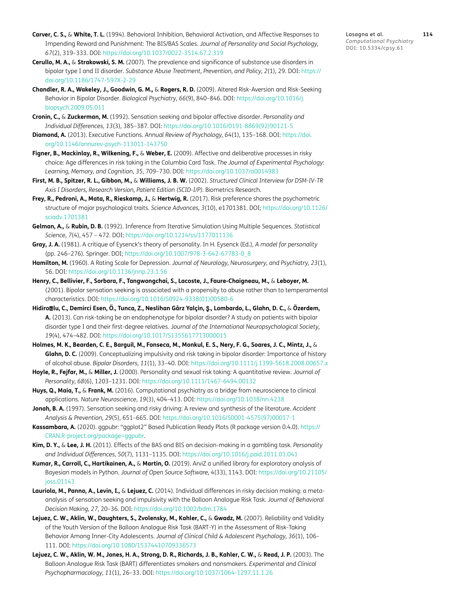- <span id="page-18-17"></span>**Carver, C. S.,** & **White, T. L.** (1994). Behavioral Inhibition, Behavioral Activation, and Affective Responses to Impending Reward and Punishment: The BIS/BAS Scales. *Journal of Personality and Social Psychology, 67*(2), 319–333. DOI: [https://doi.org/10.1037/0022-3514.67.2.319](https://doi.org/10.1037/0022-3514.67.2.319 )
- <span id="page-18-0"></span>**Cerullo, M. A.,** & **Strakowski, S. M.** (2007). The prevalence and significance of substance use disorders in bipolar type I and II disorder. *Substance Abuse Treatment, Prevention, and Policy, 2*(1), 29. DOI: [https://](https://doi.org/10.1186/1747-597X-2-29 ) [doi.org/10.1186/1747-597X-2-29](https://doi.org/10.1186/1747-597X-2-29 )
- <span id="page-18-12"></span>**Chandler, R. A., Wakeley, J., Goodwin, G. M.,** & **Rogers, R. D.** (2009). Altered Risk-Aversion and Risk-Seeking Behavior in Bipolar Disorder. *Biological Psychiatry, 66*(9), 840–846. DOI: [https://doi.org/10.1016/j.](https://doi.org/10.1016/j.biopsych.2009.05.011 ) [biopsych.2009.05.011](https://doi.org/10.1016/j.biopsych.2009.05.011 )
- <span id="page-18-6"></span>**Cronin, C.,** & **Zuckerman, M.** (1992). Sensation seeking and bipolar affective disorder. *Personality and Individual Differences, 13*(3), 385–387. DOI: [https://doi.org/10.1016/0191-8869\(92\)90121-5](https://doi.org/10.1016/0191-8869(92)90121-5 )
- <span id="page-18-3"></span>**Diamond, A.** (2013). Executive Functions. *Annual Review of Psychology, 64*(1), 135–168. DOI: [https://doi.](https://doi.org/10.1146/annurev-psych-113011-143750 ) [org/10.1146/annurev-psych-113011-143750](https://doi.org/10.1146/annurev-psych-113011-143750 )
- <span id="page-18-11"></span>**Figner, B., Mackinlay, R., Wilkening, F.,** & **Weber, E.** (2009). Affective and deliberative processes in risky choice: Age differences in risk taking in the Columbia Card Task. *The Journal of Experimental Psychology: Learning, Memory, and Cognition, 35,* 709–730. DOI: [https://doi.org/10.1037/a0014983](https://doi.org/10.1037/a0014983 )
- <span id="page-18-15"></span>**First, M. B., Spitzer, R. L., Gibbon, M.,** & **Williams, J. B. W.** (2002). *Structured Clinical Interview for DSM-IV-TR Axis I Disorders, Research Version, Patient Edition (SCID-I/P).* Biometrics Research.
- <span id="page-18-9"></span>**Frey, R., Pedroni, A., Mata, R., Rieskamp, J.,** & **Hertwig, R.** (2017). Risk preference shares the psychometric structure of major psychological traits. *Science Advances, 3*(10), e1701381. DOI; [https://doi.org/10.1126/](https://doi.org/10.1126/sciadv.1701381 ) [sciadv.1701381](https://doi.org/10.1126/sciadv.1701381 )
- <span id="page-18-18"></span>**Gelman, A.,** & **Rubin, D. B.** (1992). Inference from Iterative Simulation Using Multiple Sequences. *Statistical Science, 7*(4), 457 – 472. DOI: [https://doi.org/10.1214/ss/1177011136](https://doi.org/10.1214/ss/1177011136 )
- <span id="page-18-1"></span>**Gray, J. A.** (1981). A critique of Eysenck's theory of personality. In H. Eysenck (Ed.), *A model for personality* (pp. 246–276). Springer. DOI; [https://doi.org/10.1007/978-3-642-67783-0\\_8](https://doi.org/10.1007/978-3-642-67783-0_8 )
- <span id="page-18-16"></span>**Hamilton, M.** (1960). A Rating Scale for Depression. *Journal of Neurology, Neurosurgery, and Psychiatry, 23*(1), 56. DOI: [https://doi.org/10.1136/jnnp.23.1.56](https://doi.org/10.1136/jnnp.23.1.56 )
- <span id="page-18-8"></span>**Henry, C., Bellivier, F., Sorbara, F., Tangwongchai, S., Lacoste, J., Faure-Chaigneau, M.,** & **Leboyer, M.**  (2001). Bipolar sensation seeking is associated with a propensity to abuse rather than to temperamental characteristics. DOI: [https://doi.org/10.1016/S0924-9338\(01\)00580-6](https://doi.org/10.1016/S0924-9338(01)00580-6 )
- **Hidiro**ǧ**lu, C., Demirci Esen, Ö., Tunca, Z., Neslihan Gårz Yalçìn,** Ş**., Lombardo, L., Glahn, D. C.,** & **Özerdem, A.** (2013). Can risk-taking be an endophenotype for bipolar disorder? A study on patients with bipolar disorder type I and their first-degree relatives. J*ournal of the International Neuropsychological Society, 19*(4), 474–482. DOI: [https://doi.org/10.1017/S1355617713000015](https://doi.org/10.1017/S1355617713000015 )
- <span id="page-18-7"></span>**Holmes, M. K., Bearden, C. E., Barguil, M., Fonseca, M., Monkul, E. S., Nery, F. G., Soares, J. C., Mintz, J.,** & **Glahn, D. C.** (2009). Conceptualizing impulsivity and risk taking in bipolar disorder: Importance of history of alcohol abuse. *Bipolar Disorders, 11*(1), 33–40. DOI: [https://doi.org/10.1111/j.1399-5618.2008.00657.x](https://doi.org/10.1111/j.1399-5618.2008.00657.x )
- <span id="page-18-4"></span>**Hoyle, R., Fejfar, M.,** & **Miller, J.** (2000). Personality and sexual risk taking: A quantitative review. *Journal of Personality, 68*(6), 1203–1231. DOI: [https://doi.org/10.1111/1467-6494.00132](https://doi.org/10.1111/1467-6494.00132 )
- <span id="page-18-13"></span>**Huys, Q., Maia, T.,** & **Frank, M.** (2016). Computational psychiatry as a bridge from neuroscience to clinical applications. *Nature Neuroscience, 19*(3), 404–413. DOI: [https://doi.org/10.1038/nn.4238](https://doi.org/10.1038/nn.4238 )
- <span id="page-18-5"></span>**Jonah, B. A.** (1997). Sensation seeking and risky driving: A review and synthesis of the literature. *Accident Analysis & Prevention, 29*(5), 651–665. DOI: [https://doi.org/10.1016/S0001-4575\(97\)00017-1](https://doi.org/10.1016/S0001-4575(97)00017-1 )
- <span id="page-18-20"></span>**Kassambara, A.** (2020). ggpubr: "ggplot2" Based Publication Ready Plots (R package version 0.4.0). [https://](https://CRAN.R-project.org/package=ggpubr) [CRAN.R-project.org/package=ggpubr](https://CRAN.R-project.org/package=ggpubr).
- <span id="page-18-2"></span>**Kim, D. Y.,** & **Lee, J. H.** (2011). Effects of the BAS and BIS on decision-making in a gambling task. *Personality and Individual Differences, 50*(7), 1131–1135. DOI: [https://doi.org/10.1016/j.paid.2011.01.041](https://doi.org/10.1016/j.paid.2011.01.041 )
- <span id="page-18-19"></span>**Kumar, R., Carroll, C., Hartikainen, A.,** & **Martin, O.** (2019). ArviZ a unified library for exploratory analysis of Bayesian models in Python. *Journal of Open Source Software, 4*(33), 1143. DOI: [https://doi.org/10.21105/](https://doi.org/10.21105/joss.01143 ) [joss.01143](https://doi.org/10.21105/joss.01143 )
- <span id="page-18-14"></span>**Lauriola, M., Panno, A., Levin, I.,** & **Lejuez, C.** (2014). Individual differences in risky decision making: a metaanalysis of sensation seeking and impulsivity with the Balloon Analogue Risk Task. *Journal of Behavioral Decision Making, 27*, 20–36. DOI: [https://doi.org/10.1002/bdm.1784](https://doi.org/10.1002/bdm.1784 )
- <span id="page-18-21"></span>**Lejuez, C. W., Aklin, W., Daughters, S., Zvolensky, M., Kahler, C.,** & **Gwadz, M.** (2007). Reliability and Validity of the Youth Version of the Balloon Analogue Risk Task (BART-Y) in the Assessment of Risk-Taking Behavior Among Inner-City Adolescents. *Journal of Clinical Child & Adolescent Psychology, 36*(1), 106– 111. DOI: [https://doi.org/10.1080/15374410709336573](https://doi.org/10.1080/15374410709336573 )
- <span id="page-18-10"></span>**Lejuez, C. W., Aklin, W. M., Jones, H. A., Strong, D. R., Richards, J. B., Kahler, C. W.,** & **Read, J. P.** (2003). The Balloon Analogue Risk Task (BART) differentiates smokers and nonsmokers. *Experimental and Clinical Psychopharmacology, 11*(1), 26–33. DOI: [https://doi.org/10.1037/1064-1297.11.1.26](https://doi.org/10.1037/1064-1297.11.1.26 )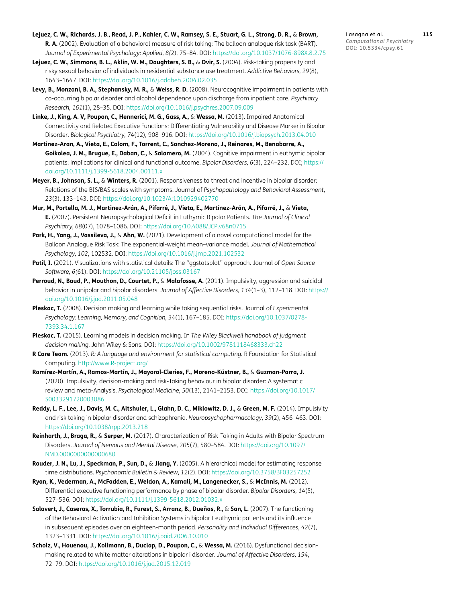- <span id="page-19-10"></span>**Lejuez, C. W., Richards, J. B., Read, J. P., Kahler, C. W., Ramsey, S. E., Stuart, G. L., Strong, D. R.,** & **Brown, R. A.** (2002). Evaluation of a behavioral measure of risk taking: The balloon analogue risk task (BART). *Journal of Experimental Psychology: Applied, 8(*2), 75–84. DOI: [https://doi.org/10.1037/1076-898X.8.2.75](https://doi.org/10.1037/1076-898X.8.2.75 )
- <span id="page-19-11"></span>**Lejuez, C. W., Simmons, B. L., Aklin, W. M., Daughters, S. B.,** & **Dvir, S.** (2004). Risk-taking propensity and risky sexual behavior of individuals in residential substance use treatment. *Addictive Behaviors, 29*(8), 1643–1647. DOI: [https://doi.org/10.1016/j.addbeh.2004.02.035](https://doi.org/10.1016/j.addbeh.2004.02.035 )
- <span id="page-19-13"></span>**Levy, B., Monzani, B. A., Stephansky, M. R.,** & **Weiss, R. D.** (2008). Neurocognitive impairment in patients with co-occurring bipolar disorder and alcohol dependence upon discharge from inpatient care. *Psychiatry Research, 161*(1), 28–35. DOI: [https://doi.org/10.1016/j.psychres.2007.09.009](https://doi.org/10.1016/j.psychres.2007.09.009 )
- <span id="page-19-7"></span>**Linke, J., King, A. V, Poupon, C., Hennerici, M. G., Gass, A.,** & **Wessa, M.** (2013). Impaired Anatomical Connectivity and Related Executive Functions: Differentiating Vulnerability and Disease Marker in Bipolar Disorder. *Biological Psychiatry, 74*(12), 908–916. DOI: [https://doi.org/10.1016/j.biopsych.2013.04.010](https://doi.org/10.1016/j.biopsych.2013.04.010 )
- <span id="page-19-5"></span>**Martinez-Aran, A., Vieta, E., Colom, F., Torrent, C., Sanchez-Moreno, J., Reinares, M., Benabarre, A., Goikolea, J. M., Brugue, E., Daban, C.,** & **Salamero, M.** (2004). Cognitive impairment in euthymic bipolar patients: implications for clinical and functional outcome. *Bipolar Disorders, 6*(3), 224–232. DOI; [https://](https://doi.org/10.1111/j.1399-5618.2004.00111.x ) [doi.org/10.1111/j.1399-5618.2004.00111.x](https://doi.org/10.1111/j.1399-5618.2004.00111.x )
- <span id="page-19-4"></span>**Meyer, B., Johnson, S. L.,** & **Winters, R.** (2001). Responsiveness to threat and incentive in bipolar disorder: Relations of the BIS/BAS scales with symptoms. Journal of *Psychopathology and Behavioral Assessment, 23*(3), 133–143. DOI: [https://doi.org/10.1023/A:1010929402770](https://doi.org/10.1023/A:1010929402770 )
- **Mur, M., Portella, M. J., Martinez-Arán, A., Pifarré, J., Vieta, E., Martínez-Arán, A., Pifarré, J.,** & **Vieta, E.** (2007). Persistent Neuropsychological Deficit in Euthymic Bipolar Patients. *The Journal of Clinical Psychiatry, 68*(07), 1078–1086. DOI: [https://doi.org/10.4088/JCP.v68n0715](https://doi.org/10.4088/JCP.v68n0715 )
- <span id="page-19-12"></span>**Park, H., Yang, J., Vassileva, J.,** & **Ahn, W.** (2021). Development of a novel computational model for the Balloon Analogue Risk Task: The exponential-weight mean–variance model. *Journal of Mathematical Psychology, 102*, 102532. DOI: [https://doi.org/10.1016/j.jmp.2021.102532](https://doi.org/10.1016/j.jmp.2021.102532 )
- <span id="page-19-15"></span>**Patil, I.** (2021). Visualizations with statistical details: The "ggstatsplot" approach. Journal of *Open Source Software, 6(*61). DOI: [https://doi.org/10.21105/joss.03167](https://doi.org/10.21105/joss.03167 )
- <span id="page-19-0"></span>**Perroud, N., Baud, P., Mouthon, D., Courtet, P.,** & **Malafosse, A.** (2011). Impulsivity, aggression and suicidal behavior in unipolar and bipolar disorders. *Journal of Affective Disorders, 134*(1–3), 112–118. DOI: [https://](https://doi.org/10.1016/j.jad.2011.05.048 ) [doi.org/10.1016/j.jad.2011.05.048](https://doi.org/10.1016/j.jad.2011.05.048 )
- <span id="page-19-3"></span>**Pleskac, T.** (2008). Decision making and learning while taking sequential risks. Journal of *Experimental Psychology: Learning, Memory, and Cognition, 34*(1), 167–185. DOI: [https://doi.org/10.1037/0278-](https://doi.org/10.1037/0278-7393.34.1.167 ) [7393.34.1.167](https://doi.org/10.1037/0278-7393.34.1.167 )
- <span id="page-19-2"></span>**Pleskac, T.** (2015). Learning models in decision making. In *The Wiley Blackwell handbook of judgment decision making.* John Wiley & Sons. DOI: [https://doi.org/10.1002/9781118468333.ch22](https://doi.org/10.1002/9781118468333.ch22 )
- <span id="page-19-14"></span>**R Core Team.** (2013). *R: A language and environment for statistical computing.* R Foundation for Statistical Computing. <http://www.R-project.org/>
- **Ramírez-Martín, A., Ramos-Martín, J., Mayoral-Cleries, F., Moreno-Küstner, B.,** & **Guzman-Parra, J.**  (2020). Impulsivity, decision-making and risk-Taking behaviour in bipolar disorder: A systematic review and meta-Analysis. *Psychological Medicine, 50*(13), 2141–2153. DOI: [https://doi.org/10.1017/](https://doi.org/10.1017/S0033291720003086 ) [S0033291720003086](https://doi.org/10.1017/S0033291720003086 )
- <span id="page-19-8"></span>**Reddy, L. F., Lee, J., Davis, M. C., Altshuler, L., Glahn, D. C., Miklowitz, D. J.,** & **Green, M. F.** (2014). Impulsivity and risk taking in bipolar disorder and schizophrenia. *Neuropsychopharmacology, 39*(2), 456–463. DOI: [https://doi.org/10.1038/npp.2013.218](https://doi.org/10.1038/npp.2013.218 )
- <span id="page-19-1"></span>**Reinharth, J., Braga, R.,** & **Serper, M.** (2017). Characterization of Risk-Taking in Adults with Bipolar Spectrum Disorders. *Journal of Nervous and Mental Disease, 205*(7), 580–584. DOI: [https://doi.org/10.1097/](https://doi.org/10.1097/NMD.0000000000000680 ) [NMD.0000000000000680](https://doi.org/10.1097/NMD.0000000000000680 )
- <span id="page-19-16"></span>**Rouder, J. N., Lu, J., Speckman, P., Sun, D.,** & **Jiang, Y.** (2005). A hierarchical model for estimating response time distributions. *Psychonomic Bulletin & Review, 12*(2). DOI: [https://doi.org/10.3758/BF03257252](https://doi.org/10.3758/BF03257252 )
- <span id="page-19-6"></span>**Ryan, K., Vederman, A., McFadden, E., Weldon, A., Kamali, M., Langenecker, S.,** & **McInnis, M.** (2012). Differential executive functioning performance by phase of bipolar disorder. *Bipolar Disorders, 14*(5), 527–536. DOI: [https://doi.org/10.1111/j.1399-5618.2012.01032.x](https://doi.org/10.1111/j.1399-5618.2012.01032.x )
- **Salavert, J., Caseras, X., Torrubia, R., Furest, S., Arranz, B., Dueñas, R.,** & **San, L.** (2007). The functioning of the Behavioral Activation and Inhibition Systems in bipolar I euthymic patients and its influence in subsequent episodes over an eighteen-month period. *Personality and Individual Differences, 42*(7), 1323–1331. DOI: [https://doi.org/10.1016/j.paid.2006.10.010](https://doi.org/10.1016/j.paid.2006.10.010 )
- <span id="page-19-9"></span>**Scholz, V., Houenou, J., Kollmann, B., Duclap, D., Poupon, C.,** & **Wessa, M.** (2016). Dysfunctional decisionmaking related to white matter alterations in bipolar i disorder. *Journal of Affective Disorders, 194*, 72–79. DOI: [https://doi.org/10.1016/j.jad.2015.12.019](https://doi.org/10.1016/j.jad.2015.12.019 )

Lasagna et al. **115** *Computational Psychiatry* DOI: 10.5334/cpsy.61